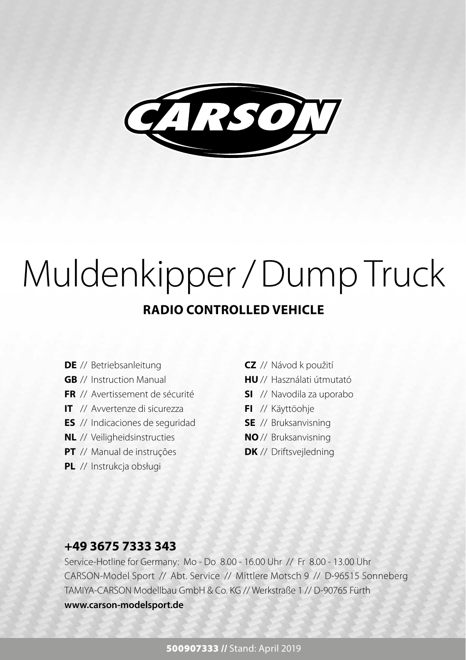

## **RADIO CONTROLLED VEHICLE** Muldenkipper / Dump Truck

- **DE** // Betriebsanleitung
- **GB** // Instruction Manual
- **FR** // Avertissement de sécurité
- **IT** // Avvertenze di sicurezza
- **ES** // Indicaciones de seguridad
- **NL** // Veiligheidsinstructies
- **PT** // Manual de instruções
- **PL** // Instrukcja obsługi
- **CZ** // Návod k použití
- **HU** // Használati útmutató
- **SI** // Navodila za uporabo
- **FI** // Käyttöohje
- **SE** // Bruksanvisning
- **NO** // Bruksanvisning
- **DK** // Driftsveiledning

## **+49 3675 7333 343**

Service-Hotline for Germany: Mo - Do 8.00 - 16.00 Uhr // Fr 8.00 - 13.00 Uhr CARSON-Model Sport // Abt. Service // Mittlere Motsch 9 // D-96515 Sonneberg TAMIYA-CARSON Modellbau GmbH & Co. KG // Werkstraße 1 // D-90765 Fürth **www.carson-modelsport.de**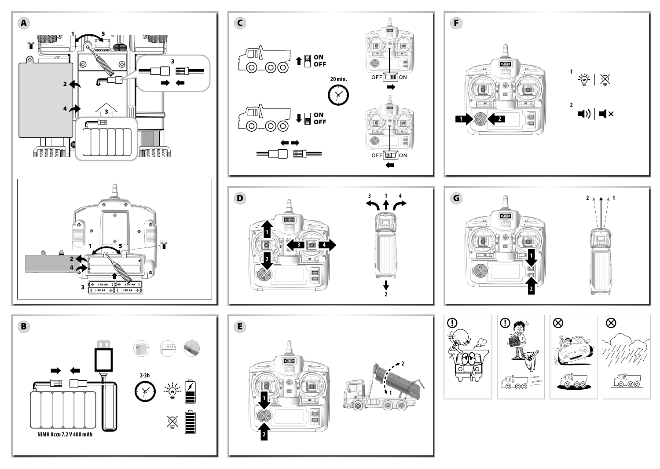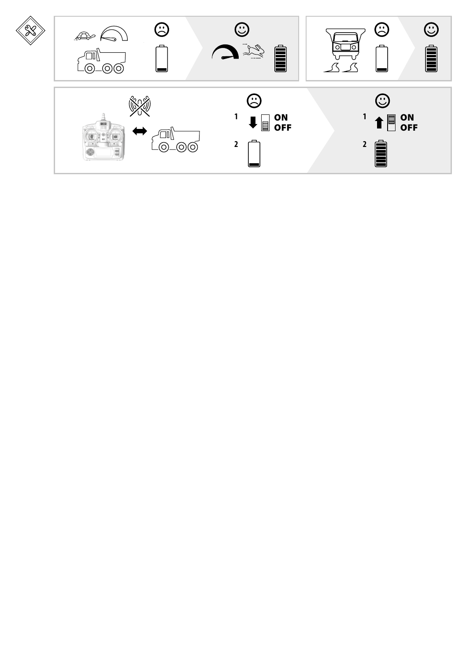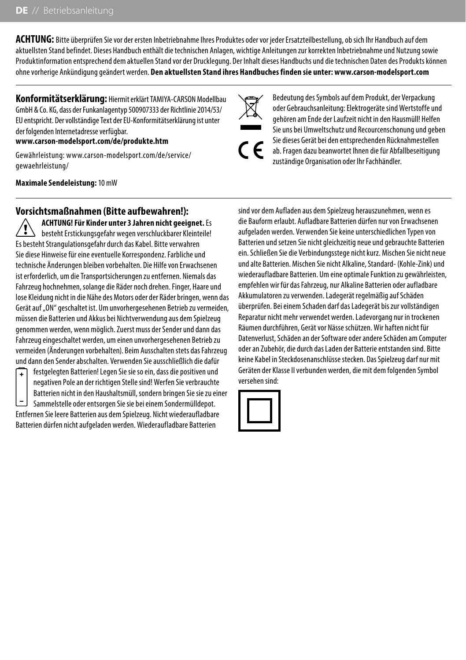**ACHTUNG:** Bitte überprüfen Sie vor der ersten Inbetriebnahme Ihres Produktes oder vor jeder Ersatzteilbestellung, ob sich Ihr Handbuch auf dem aktuellsten Stand befindet. Dieses Handbuch enthält die technischen Anlagen, wichtige Anleitungen zur korrekten Inbetriebnahme und Nutzung sowie Produktinformation entsprechend dem aktuellen Stand vor der Drucklegung. Der Inhalt dieses Handbuchs und die technischen Daten des Produkts können ohne vorherige Ankündigung geändert werden. **Den aktuellsten Stand ihres Handbuches finden sie unter: www.carson-modelsport.com**

**Konformitätserklärung:** Hiermit erklärt TAMIYA-CARSON Modellbau GmbH & Co. KG, dass der Funkanlagentyp 500907333 der Richtlinie 2014/53/ EU entspricht. Der vollständige Text der EU-Konformitätserklärung ist unter der folgenden Internetadresse verfügbar.

#### **www.carson-modelsport.com/de/produkte.htm**

Gewährleistung: www.carson-modelsport.com/de/service/ gewaehrleistung/

**Maximale Sendeleistung:** 10 mW

## **Vorsichtsmaßnahmen (Bitte aufbewahren!):**

**ACHTUNG! Für Kinder unter 3 Jahren nicht geeignet.** Es besteht Erstickungsgefahr wegen verschluckbarer Kleinteile! Es besteht Strangulationsgefahr durch das Kabel. Bitte verwahren Sie diese Hinweise für eine eventuelle Korrespondenz. Farbliche und technische Änderungen bleiben vorbehalten. Die Hilfe von Erwachsenen ist erforderlich, um die Transportsicherungen zu entfernen. Niemals das Fahrzeug hochnehmen, solange die Räder noch drehen. Finger, Haare und lose Kleidung nicht in die Nähe des Motors oder der Räder bringen, wenn das Gerät auf "ON" geschaltet ist. Um unvorhergesehenen Betrieb zu vermeiden, müssen die Batterien und Akkus bei Nichtverwendung aus dem Spielzeug genommen werden, wenn möglich. Zuerst muss der Sender und dann das Fahrzeug eingeschaltet werden, um einen unvorhergesehenen Betrieb zu vermeiden (Änderungen vorbehalten). Beim Ausschalten stets das Fahrzeug und dann den Sender abschalten. Verwenden Sie ausschließlich die dafür

festgelegten Batterien! Legen Sie sie so ein, dass die positiven und negativen Pole an der richtigen Stelle sind! Werfen Sie verbrauchte Batterien nicht in den Haushaltsmüll, sondern bringen Sie sie zu einer Sammelstelle oder entsorgen Sie sie bei einem Sondermülldepot.

Entfernen Sie leere Batterien aus dem Spielzeug. Nicht wiederaufladbare Batterien dürfen nicht aufgeladen werden. Wiederaufladbare Batterien

Bedeutung des Symbols auf dem Produkt, der Verpackung oder Gebrauchsanleitung: Elektrogeräte sind Wertstoffe und gehören am Ende der Laufzeit nicht in den Hausmüll! Helfen Sie uns bei Umweltschutz und Recourcenschonung und geben Sie dieses Gerät bei den entsprechenden Rücknahmestellen ab. Fragen dazu beanwortet Ihnen die für Abfallbeseitigung zuständige Organisation oder Ihr Fachhändler.

sind vor dem Aufladen aus dem Spielzeug herauszunehmen, wenn es die Bauform erlaubt. Aufladbare Batterien dürfen nur von Erwachsenen aufgeladen werden. Verwenden Sie keine unterschiedlichen Typen von Batterien und setzen Sie nicht gleichzeitig neue und gebrauchte Batterien ein. Schließen Sie die Verbindungsstege nicht kurz. Mischen Sie nicht neue und alte Batterien. Mischen Sie nicht Alkaline, Standard- (Kohle-Zink) und wiederaufladbare Batterien. Um eine optimale Funktion zu gewährleisten, empfehlen wir für das Fahrzeug, nur Alkaline Batterien oder aufladbare Akkumulatoren zu verwenden. Ladegerät regelmäßig auf Schäden überprüfen. Bei einem Schaden darf das Ladegerät bis zur vollständigen Reparatur nicht mehr verwendet werden. Ladevorgang nur in trockenen Räumen durchführen, Gerät vor Nässe schützen. Wir haften nicht für Datenverlust, Schäden an der Software oder andere Schäden am Computer oder an Zubehör, die durch das Laden der Batterie entstanden sind. Bitte keine Kabel in Steckdosenanschlüsse stecken. Das Spielzeug darf nur mit Geräten der Klasse II verbunden werden, die mit dem folgenden Symbol versehen sind:

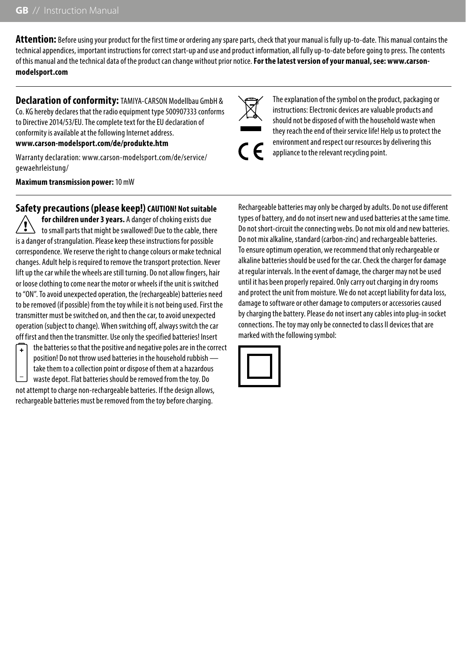**Attention:** Before using your product for the first time or ordering any spare parts, check that your manual is fully up-to-date. This manual contains the technical appendices, important instructions for correct start-up and use and product information, all fully up-to-date before going to press. The contents of this manual and the technical data of the product can change without prior notice. **For the latest version of your manual, see: www.carsonmodelsport.com**

**Declaration of conformity:** TAMIYA-CARSON Modellbau GmbH & Co. KG hereby declares that the radio equipment type 500907333 conforms to Directive 2014/53/EU. The complete text for the EU declaration of conformity is available at the following Internet address.

#### **www.carson-modelsport.com/de/produkte.htm**

Warranty declaration: www.carson-modelsport.com/de/service/ gewaehrleistung/

**Maximum transmission power:** 10 mW

## **Safety precautions (please keep!) CAUTION! Not suitable**

**for children under 3 years.** A danger of choking exists due to small parts that might be swallowed! Due to the cable, there is a danger of strangulation. Please keep these instructions for possible correspondence. We reserve the right to change colours or make technical changes. Adult help is required to remove the transport protection. Never lift up the car while the wheels are still turning. Do not allow fingers, hair or loose clothing to come near the motor or wheels if the unit is switched to "ON". To avoid unexpected operation, the (rechargeable) batteries need to be removed (if possible) from the toy while it is not being used. First the transmitter must be switched on, and then the car, to avoid unexpected operation (subject to change). When switching off, always switch the car off first and then the transmitter. Use only the specified batteries! Insert



the batteries so that the positive and negative poles are in the correct position! Do not throw used batteries in the household rubbish take them to a collection point or dispose of them at a hazardous waste depot. Flat batteries should be removed from the toy. Do

not attempt to charge non-rechargeable batteries. If the design allows, rechargeable batteries must be removed from the toy before charging.

The explanation of the symbol on the product, packaging or instructions: Electronic devices are valuable products and should not be disposed of with the household waste when they reach the end of their service life! Help us to protect the environment and respect our resources by delivering this appliance to the relevant recycling point.

Rechargeable batteries may only be charged by adults. Do not use different types of battery, and do not insert new and used batteries at the same time. Do not short-circuit the connecting webs. Do not mix old and new batteries. Do not mix alkaline, standard (carbon-zinc) and rechargeable batteries. To ensure optimum operation, we recommend that only rechargeable or alkaline batteries should be used for the car. Check the charger for damage at regular intervals. In the event of damage, the charger may not be used until it has been properly repaired. Only carry out charging in dry rooms and protect the unit from moisture. We do not accept liability for data loss, damage to software or other damage to computers or accessories caused by charging the battery. Please do not insert any cables into plug-in socket connections. The toy may only be connected to class II devices that are marked with the following symbol:

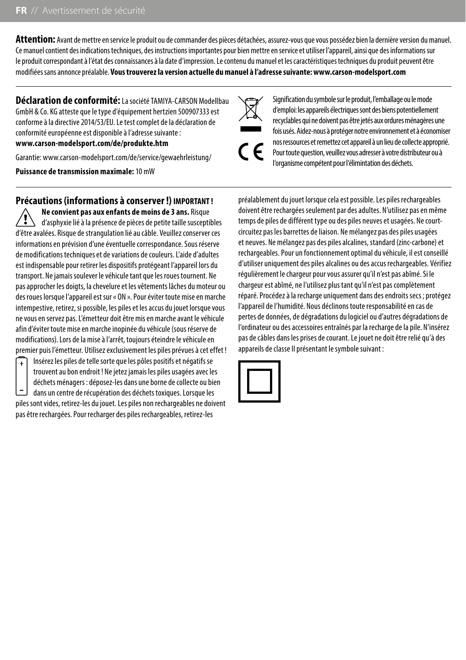**Attention:** Avant de mettre en service le produit ou de commander des pièces détachées, assurez-vous que vous possédez bien la dernière version du manuel. Ce manuel contient des indications techniques, des instructions importantes pour bien mettre en service et utiliser l'appareil, ainsi que des informations sur le produit correspondant à l'état des connaissances à la date d'impression. Le contenu du manuel et les caractéristiques techniques du produit peuvent être modifiées sans annonce préalable. **Vous trouverez la version actuelle du manuel à l'adresse suivante: www.carson-modelsport.com**

**Déclaration de conformité:** La société TAMIYA-CARSON Modellbau GmbH & Co. KG atteste que le type d'équipement hertzien 500907333 est conforme à la directive 2014/53/EU. Le test complet de la déclaration de conformité européenne est disponible à l'adresse suivante :

#### **www.carson-modelsport.com/de/produkte.htm**

Garantie: www.carson-modelsport.com/de/service/gewaehrleistung/

**Puissance de transmission maximale:** 10 mW

## **Précautions (informations à conserver !) IMPORTANT !**

**Ne convient pas aux enfants de moins de 3 ans.** Risque d'asphyxie lié à la présence de pièces de petite taille susceptibles d'être avalées. Risque de strangulation lié au câble. Veuillez conserver ces informations en prévision d'une éventuelle correspondance. Sous réserve de modifications techniques et de variations de couleurs. L'aide d'adultes est indispensable pour retirer les dispositifs protégeant l'appareil lors du transport. Ne jamais soulever le véhicule tant que les roues tournent. Ne pas approcher les doigts, la chevelure et les vêtements lâches du moteur ou des roues lorsque l'appareil est sur « ON ». Pour éviter toute mise en marche intempestive, retirez, si possible, les piles et les accus du jouet lorsque vous ne vous en servez pas. L'émetteur doit être mis en marche avant le véhicule afin d'éviter toute mise en marche inopinée du véhicule (sous réserve de modifications). Lors de la mise à l'arrêt, toujours éteindre le véhicule en premier puis l'émetteur. Utilisez exclusivement les piles prévues à cet effet !



Insérez les piles de telle sorte que les pôles positifs et négatifs se trouvent au bon endroit ! Ne jetez jamais les piles usagées avec les déchets ménagers : déposez-les dans une borne de collecte ou bien dans un centre de récupération des déchets toxiques. Lorsque les piles sont vides, retirez-les du jouet. Les piles non rechargeables ne doivent pas être rechargées. Pour recharger des piles rechargeables, retirez-les

Signification du symbole sur le produit, l'emballage ou le mode d'emploi: les appareils électriques sont des biens potentiellement recyclables qui ne doivent pas être jetés aux ordures ménagères une fois usés. Aidez-nous à protéger notre environnement et à économiser nos ressources et remettez cet appareil à un lieu de collecte approprié. Pour toute question, veuillez vous adresser à votre distributeur ou à l'organisme compétent pour l'élimintation des déchets.

préalablement du jouet lorsque cela est possible. Les piles rechargeables doivent être rechargées seulement par des adultes. N'utilisez pas en même temps de piles de différent type ou des piles neuves et usagées. Ne courtcircuitez pas les barrettes de liaison. Ne mélangez pas des piles usagées et neuves. Ne mélangez pas des piles alcalines, standard (zinc-carbone) et rechargeables. Pour un fonctionnement optimal du véhicule, il est conseillé d'utiliser uniquement des piles alcalines ou des accus rechargeables. Vérifiez régulièrement le chargeur pour vous assurer qu'il n'est pas abîmé. Si le chargeur est abîmé, ne l'utilisez plus tant qu'il n'est pas complètement réparé. Procédez à la recharge uniquement dans des endroits secs ; protégez l'appareil de l'humidité. Nous déclinons toute responsabilité en cas de pertes de données, de dégradations du logiciel ou d'autres dégradations de l'ordinateur ou des accessoires entraînés par la recharge de la pile. N'insérez pas de câbles dans les prises de courant. Le jouet ne doit être relié qu'à des appareils de classe II présentant le symbole suivant :

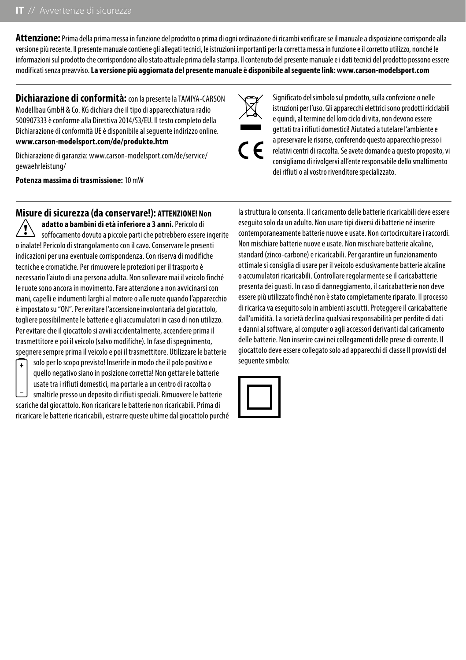**Attenzione:** Prima della prima messa in funzione del prodotto o prima di ogni ordinazione di ricambi verificare se il manuale a disposizione corrisponde alla versione più recente. Il presente manuale contiene gli allegati tecnici, le istruzioni importanti per la corretta messa in funzione e il corretto utilizzo, nonché le informazioni sul prodotto che corrispondono allo stato attuale prima della stampa. Il contenuto del presente manuale e i dati tecnici del prodotto possono essere modificati senza preavviso. **La versione più aggiornata del presente manuale è disponibile al seguente link: www.carson-modelsport.com**

**Dichiarazione di conformità:** con la presente la TAMIYA-CARSON Modellbau GmbH & Co. KG dichiara che il tipo di apparecchiatura radio 500907333 è conforme alla Direttiva 2014/53/EU. Il testo completo della Dichiarazione di conformità UE è disponibile al seguente indirizzo online. **www.carson-modelsport.com/de/produkte.htm**

Dichiarazione di garanzia: www.carson-modelsport.com/de/service/ gewaehrleistung/

**Potenza massima di trasmissione:** 10 mW

## **Misure di sicurezza (da conservare!): ATTENZIONE! Non**

**adatto a bambini di età inferiore a 3 anni.** Pericolo di soffocamento dovuto a piccole parti che potrebbero essere ingerite o inalate! Pericolo di strangolamento con il cavo. Conservare le presenti indicazioni per una eventuale corrispondenza. Con riserva di modifiche tecniche e cromatiche. Per rimuovere le protezioni per il trasporto è necessario l'aiuto di una persona adulta. Non sollevare mai il veicolo finché le ruote sono ancora in movimento. Fare attenzione a non avvicinarsi con mani, capelli e indumenti larghi al motore o alle ruote quando l'apparecchio è impostato su "ON". Per evitare l'accensione involontaria del giocattolo, togliere possibilmente le batterie e gli accumulatori in caso di non utilizzo. Per evitare che il giocattolo si avvii accidentalmente, accendere prima il trasmettitore e poi il veicolo (salvo modifiche). In fase di spegnimento, spegnere sempre prima il veicolo e poi il trasmettitore. Utilizzare le batterie



solo per lo scopo previsto! Inserirle in modo che il polo positivo e quello negativo siano in posizione corretta! Non gettare le batterie usate tra i rifiuti domestici, ma portarle a un centro di raccolta o smaltirle presso un deposito di rifiuti speciali. Rimuovere le batterie scariche dal giocattolo. Non ricaricare le batterie non ricaricabili. Prima di ricaricare le batterie ricaricabili, estrarre queste ultime dal giocattolo purché

Significato del simbolo sul prodotto, sulla confezione o nelle istruzioni per l'uso. Gli apparecchi elettrici sono prodotti riciclabili e quindi, al termine del loro ciclo di vita, non devono essere gettati tra i rifiuti domestici! Aiutateci a tutelare l'ambiente e a preservare le risorse, conferendo questo apparecchio presso i relativi centri di raccolta. Se avete domande a questo proposito, vi consigliamo di rivolgervi all'ente responsabile dello smaltimento dei rifiuti o al vostro rivenditore specializzato.

la struttura lo consenta. Il caricamento delle batterie ricaricabili deve essere eseguito solo da un adulto. Non usare tipi diversi di batterie né inserire contemporaneamente batterie nuove e usate. Non cortocircuitare i raccordi. Non mischiare batterie nuove e usate. Non mischiare batterie alcaline, standard (zinco-carbone) e ricaricabili. Per garantire un funzionamento ottimale si consiglia di usare per il veicolo esclusivamente batterie alcaline o accumulatori ricaricabili. Controllare regolarmente se il caricabatterie presenta dei guasti. In caso di danneggiamento, il caricabatterie non deve essere più utilizzato finché non è stato completamente riparato. Il processo di ricarica va eseguito solo in ambienti asciutti. Proteggere il caricabatterie dall'umidità. La società declina qualsiasi responsabilità per perdite di dati e danni al software, al computer o agli accessori derivanti dal caricamento delle batterie. Non inserire cavi nei collegamenti delle prese di corrente. Il giocattolo deve essere collegato solo ad apparecchi di classe II provvisti del seguente simbolo:

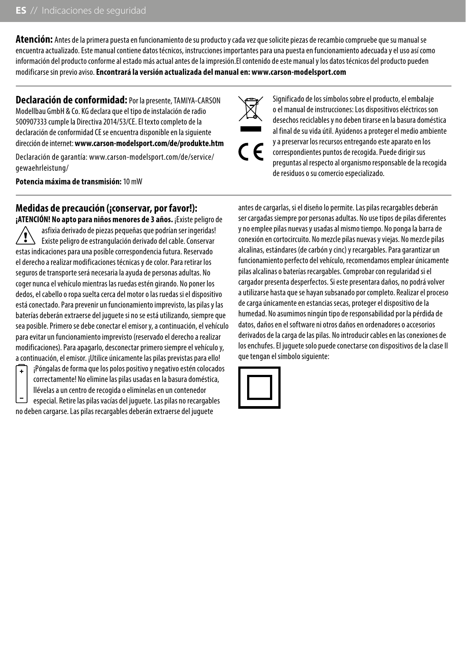**Atención:** Antes de la primera puesta en funcionamiento de su producto y cada vez que solicite piezas de recambio compruebe que su manual se encuentra actualizado. Este manual contiene datos técnicos, instrucciones importantes para una puesta en funcionamiento adecuada y el uso así como información del producto conforme al estado más actual antes de la impresión.El contenido de este manual y los datos técnicos del producto pueden modificarse sin previo aviso. **Encontrará la versión actualizada del manual en: www.carson-modelsport.com**

**Declaración de conformidad:** Por la presente, TAMIYA-CARSON Modellbau GmbH & Co. KG declara que el tipo de instalación de radio 500907333 cumple la Directiva 2014/53/CE. El texto completo de la declaración de conformidad CE se encuentra disponible en la siguiente dirección de internet: **www.carson-modelsport.com/de/produkte.htm**

Declaración de garantía: www.carson-modelsport.com/de/service/ gewaehrleistung/

**Potencia máxima de transmisión:** 10 mW

**Medidas de precaución (¡conservar, por favor!):** 

**¡ATENCIÓN! No apto para niños menores de 3 años.** ¡Existe peligro de asfixia derivado de piezas pequeñas que podrían ser ingeridas! Existe peligro de estrangulación derivado del cable. Conservar estas indicaciones para una posible correspondencia futura. Reservado el derecho a realizar modificaciones técnicas y de color. Para retirar los seguros de transporte será necesaria la ayuda de personas adultas. No coger nunca el vehículo mientras las ruedas estén girando. No poner los dedos, el cabello o ropa suelta cerca del motor o las ruedas si el dispositivo está conectado. Para prevenir un funcionamiento imprevisto, las pilas y las baterías deberán extraerse del juguete si no se está utilizando, siempre que sea posible. Primero se debe conectar el emisor y, a continuación, el vehículo para evitar un funcionamiento imprevisto (reservado el derecho a realizar modificaciones). Para apagarlo, desconectar primero siempre el vehículo y, a continuación, el emisor. ¡Utilice únicamente las pilas previstas para ello! ¡Póngalas de forma que los polos positivo y negativo estén colocados

 $\ddot{\phantom{1}}$ 

correctamente! No elimine las pilas usadas en la basura doméstica, llévelas a un centro de recogida o elimínelas en un contenedor especial. Retire las pilas vacías del juguete. Las pilas no recargables

no deben cargarse. Las pilas recargables deberán extraerse del juguete

Significado de los símbolos sobre el producto, el embalaje o el manual de instrucciones: Los dispositivos eléctricos son desechos reciclables y no deben tirarse en la basura doméstica al final de su vida útil. Ayúdenos a proteger el medio ambiente y a preservar los recursos entregando este aparato en los correspondientes puntos de recogida. Puede dirigir sus preguntas al respecto al organismo responsable de la recogida de residuos o su comercio especializado.

antes de cargarlas, si el diseño lo permite. Las pilas recargables deberán ser cargadas siempre por personas adultas. No use tipos de pilas diferentes y no emplee pilas nuevas y usadas al mismo tiempo. No ponga la barra de conexión en cortocircuito. No mezcle pilas nuevas y viejas. No mezcle pilas alcalinas, estándares (de carbón y cinc) y recargables. Para garantizar un funcionamiento perfecto del vehículo, recomendamos emplear únicamente pilas alcalinas o baterías recargables. Comprobar con regularidad si el cargador presenta desperfectos. Si este presentara daños, no podrá volver a utilizarse hasta que se hayan subsanado por completo. Realizar el proceso de carga únicamente en estancias secas, proteger el dispositivo de la humedad. No asumimos ningún tipo de responsabilidad por la pérdida de datos, daños en el software ni otros daños en ordenadores o accesorios derivados de la carga de las pilas. No introducir cables en las conexiones de los enchufes. El juguete solo puede conectarse con dispositivos de la clase II que tengan el símbolo siguiente:

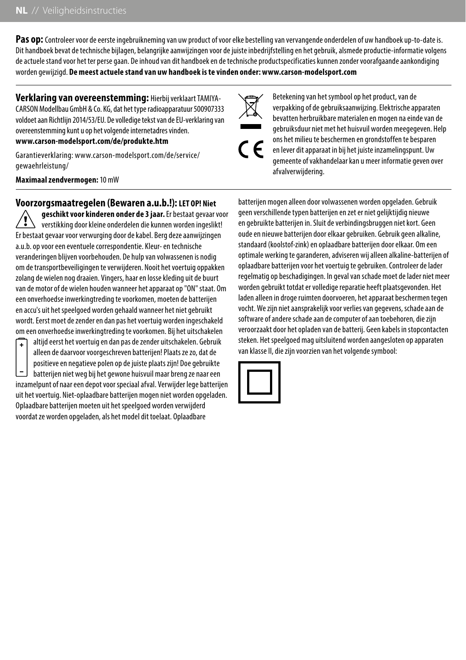Pas op: Controleer voor de eerste ingebruikneming van uw product of voor elke bestelling van vervangende onderdelen of uw handboek up-to-date is. Dit handboek bevat de technische bijlagen, belangrijke aanwijzingen voor de juiste inbedrijfstelling en het gebruik, alsmede productie-informatie volgens de actuele stand voor het ter perse gaan. De inhoud van dit handboek en de technische productspecificaties kunnen zonder voorafgaande aankondiging worden gewijzigd. **De meest actuele stand van uw handboek is te vinden onder: www.carson-modelsport.com**

**Verklaring van overeenstemming:** Hierbij verklaart TAMIYA-CARSON Modellbau GmbH & Co. KG, dat het type radioapparatuur 500907333 voldoet aan Richtlijn 2014/53/EU. De volledige tekst van de EU-verklaring van overeenstemming kunt u op het volgende internetadres vinden. **www.carson-modelsport.com/de/produkte.htm**

Garantieverklaring: www.carson-modelsport.com/de/service/ gewaehrleistung/

**Maximaal zendvermogen:** 10 mW

## **Voorzorgsmaatregelen (Bewaren a.u.b.!): LET OP! Niet**

**geschikt voor kinderen onder de 3 jaar.** Er bestaat gevaar voor verstikking door kleine onderdelen die kunnen worden ingeslikt! Er bestaat gevaar voor verwurging door de kabel. Berg deze aanwijzingen a.u.b. op voor een eventuele correspondentie. Kleur- en technische veranderingen blijven voorbehouden. De hulp van volwassenen is nodig om de transportbeveiligingen te verwijderen. Nooit het voertuig oppakken zolang de wielen nog draaien. Vingers, haar en losse kleding uit de buurt van de motor of de wielen houden wanneer het apparaat op "ON" staat. Om een onverhoedse inwerkingtreding te voorkomen, moeten de batterijen en accu's uit het speelgoed worden gehaald wanneer het niet gebruikt wordt. Eerst moet de zender en dan pas het voertuig worden ingeschakeld om een onverhoedse inwerkingtreding te voorkomen. Bij het uitschakelen altijd eerst het voertuig en dan pas de zender uitschakelen. Gebruik



alleen de daarvoor voorgeschreven batterijen! Plaats ze zo, dat de positieve en negatieve polen op de juiste plaats zijn! Doe gebruikte batterijen niet weg bij het gewone huisvuil maar breng ze naar een inzamelpunt of naar een depot voor speciaal afval. Verwijder lege batterijen uit het voertuig. Niet-oplaadbare batterijen mogen niet worden opgeladen. Oplaadbare batterijen moeten uit het speelgoed worden verwijderd voordat ze worden opgeladen, als het model dit toelaat. Oplaadbare

Betekening van het symbool op het product, van de verpakking of de gebruiksaanwijzing. Elektrische apparaten bevatten herbruikbare materialen en mogen na einde van de gebruiksduur niet met het huisvuil worden meegegeven. Help ons het milieu te beschermen en grondstoffen te besparen en lever dit apparaat in bij het juiste inzamelingspunt. Uw gemeente of vakhandelaar kan u meer informatie geven over afvalverwijdering.

batterijen mogen alleen door volwassenen worden opgeladen. Gebruik geen verschillende typen batterijen en zet er niet gelijktijdig nieuwe en gebruikte batterijen in. Sluit de verbindingsbruggen niet kort. Geen oude en nieuwe batterijen door elkaar gebruiken. Gebruik geen alkaline, standaard (koolstof-zink) en oplaadbare batterijen door elkaar. Om een optimale werking te garanderen, adviseren wij alleen alkaline-batterijen of oplaadbare batterijen voor het voertuig te gebruiken. Controleer de lader regelmatig op beschadigingen. In geval van schade moet de lader niet meer worden gebruikt totdat er volledige reparatie heeft plaatsgevonden. Het laden alleen in droge ruimten doorvoeren, het apparaat beschermen tegen vocht. We zijn niet aansprakelijk voor verlies van gegevens, schade aan de software of andere schade aan de computer of aan toebehoren, die zijn veroorzaakt door het opladen van de batterij. Geen kabels in stopcontacten steken. Het speelgoed mag uitsluitend worden aangesloten op apparaten van klasse II, die zijn voorzien van het volgende symbool:

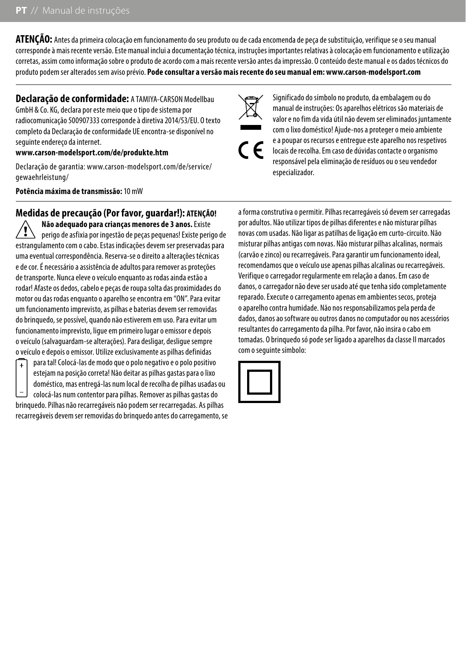**ATENÇÃO:** Antes da primeira colocação em funcionamento do seu produto ou de cada encomenda de peça de substituição, verifique se o seu manual corresponde à mais recente versão. Este manual inclui a documentação técnica, instruções importantes relativas à colocação em funcionamento e utilização corretas, assim como informação sobre o produto de acordo com a mais recente versão antes da impressão. O conteúdo deste manual e os dados técnicos do produto podem ser alterados sem aviso prévio. **Pode consultar a versão mais recente do seu manual em: www.carson-modelsport.com**

**Declaração de conformidade:** A TAMIYA-CARSON Modellbau GmbH & Co. KG, declara por este meio que o tipo de sistema por radiocomunicação 500907333 corresponde à diretiva 2014/53/EU. O texto completo da Declaração de conformidade UE encontra-se disponível no seguinte endereço da internet.

#### **www.carson-modelsport.com/de/produkte.htm**

Declaração de garantia: www.carson-modelsport.com/de/service/ gewaehrleistung/

#### **Potência máxima de transmissão:** 10 mW

## **Medidas de precaução (Por favor, guardar!): ATENÇÃO!**

**Não adequado para crianças menores de 3 anos.** Existe perigo de asfixia por ingestão de peças pequenas! Existe perigo de estrangulamento com o cabo. Estas indicações devem ser preservadas para uma eventual correspondência. Reserva-se o direito a alterações técnicas e de cor. É necessário a assistência de adultos para remover as proteções de transporte. Nunca eleve o veículo enquanto as rodas ainda estão a rodar! Afaste os dedos, cabelo e peças de roupa solta das proximidades do motor ou das rodas enquanto o aparelho se encontra em "ON". Para evitar um funcionamento imprevisto, as pilhas e baterias devem ser removidas do brinquedo, se possível, quando não estiverem em uso. Para evitar um funcionamento imprevisto, ligue em primeiro lugar o emissor e depois o veículo (salvaguardam-se alterações). Para desligar, desligue sempre o veículo e depois o emissor. Utilize exclusivamente as pilhas definidas



para tal! Colocá-las de modo que o polo negativo e o polo positivo estejam na posição correta! Não deitar as pilhas gastas para o lixo doméstico, mas entregá-las num local de recolha de pilhas usadas ou colocá-las num contentor para pilhas. Remover as pilhas gastas do brinquedo. Pilhas não recarregáveis não podem ser recarregadas. As pilhas recarregáveis devem ser removidas do brinquedo antes do carregamento, se

Significado do símbolo no produto, da embalagem ou do manual de instruções: Os aparelhos elétricos são materiais de valor e no fim da vida útil não devem ser eliminados juntamente com o lixo doméstico! Ajude-nos a proteger o meio ambiente e a poupar os recursos e entregue este aparelho nos respetivos locais de recolha. Em caso de dúvidas contacte o organismo responsável pela eliminação de resíduos ou o seu vendedor especializador.

a forma construtiva o permitir. Pilhas recarregáveis só devem ser carregadas por adultos. Não utilizar tipos de pilhas diferentes e não misturar pilhas novas com usadas. Não ligar as patilhas de ligação em curto-circuito. Não misturar pilhas antigas com novas. Não misturar pilhas alcalinas, normais (carvão e zinco) ou recarregáveis. Para garantir um funcionamento ideal, recomendamos que o veículo use apenas pilhas alcalinas ou recarregáveis. Verifique o carregador regularmente em relação a danos. Em caso de danos, o carregador não deve ser usado até que tenha sido completamente reparado. Execute o carregamento apenas em ambientes secos, proteja o aparelho contra humidade. Não nos responsabilizamos pela perda de dados, danos ao software ou outros danos no computador ou nos acessórios resultantes do carregamento da pilha. Por favor, não insira o cabo em tomadas. O brinquedo só pode ser ligado a aparelhos da classe II marcados com o seguinte símbolo:

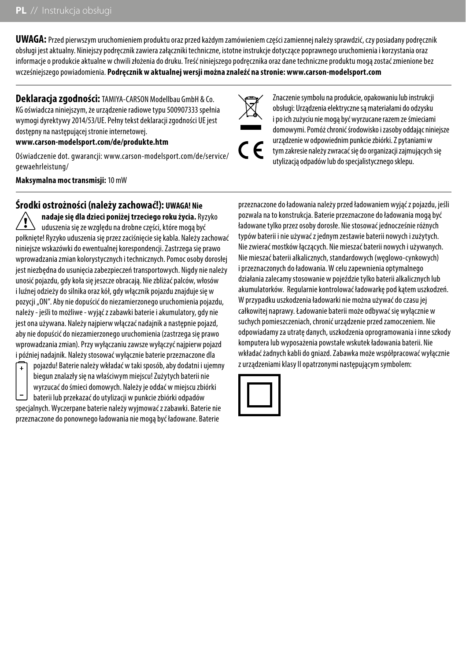**UWAGA:** Przed pierwszym uruchomieniem produktu oraz przed każdym zamówieniem części zamiennej należy sprawdzić, czy posiadany podręcznik obsługi jest aktualny. Niniejszy podręcznik zawiera załączniki techniczne, istotne instrukcje dotyczące poprawnego uruchomienia i korzystania oraz informacje o produkcie aktualne w chwili złożenia do druku. Treść niniejszego podręcznika oraz dane techniczne produktu mogą zostać zmienione bez wcześniejszego powiadomienia. **Podręcznik w aktualnej wersji można znaleźć na stronie: www.carson-modelsport.com**

**Deklaracja zgodności:** TAMIYA-CARSON Modellbau GmbH & Co. KG oświadcza niniejszym, że urządzenie radiowe typu 500907333 spełnia wymogi dyrektywy 2014/53/UE. Pełny tekst deklaracji zgodności UE jest dostępny na następującej stronie internetowej.

#### **www.carson-modelsport.com/de/produkte.htm**

Oświadczenie dot. gwarancji: www.carson-modelsport.com/de/service/ gewaehrleistung/

**Maksymalna moc transmisji:** 10 mW

## **Środki ostrożności (należy zachować!): UWAGA! Nie**

**nadaje się dla dzieci poniżej trzeciego roku życia.** Ryzyko uduszenia się ze względu na drobne części, które mogą być połknięte! Ryzyko uduszenia się przez zaciśnięcie się kabla. Należy zachować niniejsze wskazówki do ewentualnej korespondencji. Zastrzega się prawo wprowadzania zmian kolorystycznych i technicznych. Pomoc osoby dorosłej jest niezbędna do usunięcia zabezpieczeń transportowych. Nigdy nie należy unosić pojazdu, gdy koła się jeszcze obracają. Nie zbliżać palców, włosów i luźnej odzieży do silnika oraz kół, gdy włącznik pojazdu znajduje się w pozycji "ON". Aby nie dopuścić do niezamierzonego uruchomienia pojazdu, należy - jeśli to możliwe - wyjąć z zabawki baterie i akumulatory, gdy nie jest ona używana. Należy najpierw włączać nadajnik a następnie pojazd, aby nie dopuścić do niezamierzonego uruchomienia (zastrzega się prawo wprowadzania zmian). Przy wyłączaniu zawsze wyłączyć najpierw pojazd i później nadajnik. Należy stosować wyłącznie baterie przeznaczone dla

przeznaczone do ponownego ładowania nie mogą być ładowane. Baterie



Znaczenie symbolu na produkcie, opakowaniu lub instrukcji obsługi: Urządzenia elektryczne są materiałami do odzysku i po ich zużyciu nie mogą być wyrzucane razem ze śmieciami domowymi. Pomóż chronić środowisko i zasoby oddając niniejsze urządzenie w odpowiednim punkcie zbiórki. Z pytaniami w tym zakresie należy zwracać się do organizacji zajmujących się utylizacją odpadów lub do specjalistycznego sklepu.

przeznaczone do ładowania należy przed ładowaniem wyjąć z pojazdu, jeśli pozwala na to konstrukcja. Baterie przeznaczone do ładowania mogą być ładowane tylko przez osoby dorosłe. Nie stosować jednocześnie różnych typów baterii i nie używać z jednym zestawie baterii nowych i zużytych. Nie zwierać mostków łączących. Nie mieszać baterii nowych i używanych. Nie mieszać baterii alkalicznych, standardowych (węglowo-cynkowych) i przeznaczonych do ładowania. W celu zapewnienia optymalnego działania zalecamy stosowanie w pojeździe tylko baterii alkalicznych lub akumulatorków. Regularnie kontrolować ładowarkę pod kątem uszkodzeń. W przypadku uszkodzenia ładowarki nie można używać do czasu jej całkowitej naprawy. Ładowanie baterii może odbywać się wyłącznie w suchych pomieszczeniach, chronić urządzenie przed zamoczeniem. Nie odpowiadamy za utratę danych, uszkodzenia oprogramowania i inne szkody komputera lub wyposażenia powstałe wskutek ładowania baterii. Nie wkładać żadnych kabli do gniazd. Zabawka może współpracować wyłącznie z urządzeniami klasy II opatrzonymi następującym symbolem:

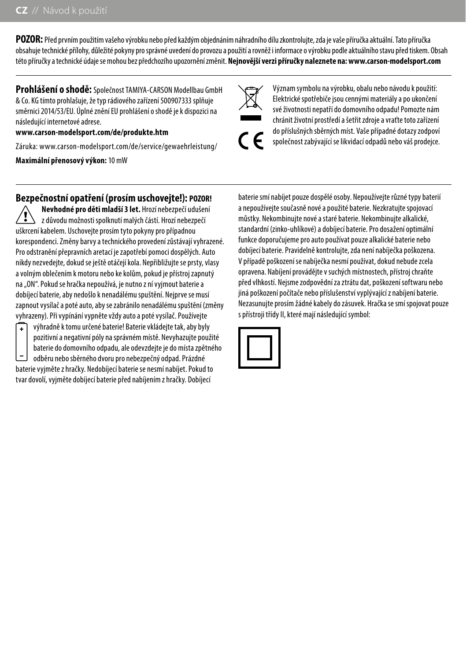**POZOR:** Před prvním použitím vašeho výrobku nebo před každým objednáním náhradního dílu zkontrolujte, zda je vaše příručka aktuální. Tato příručka obsahuje technické přílohy, důležité pokyny pro správné uvedení do provozu a použití a rovněž i informace o výrobku podle aktuálního stavu před tiskem. Obsah této příručky a technické údaje se mohou bez předchozího upozornění změnit. **Nejnovější verzi příručky naleznete na: www.carson-modelsport.com**

**Prohlášení o shodě:** Společnost TAMIYA-CARSON Modellbau GmbH & Co. KG tímto prohlašuje, že typ rádiového zařízení 500907333 splňuje směrnici 2014/53/EU. Úplné znění EU prohlášení o shodě je k dispozici na následující internetové adrese.

#### **www.carson-modelsport.com/de/produkte.htm**

Záruka: www.carson-modelsport.com/de/service/gewaehrleistung/

**Maximální přenosový výkon:** 10 mW



Význam symbolu na výrobku, obalu nebo návodu k použití: Elektrické spotřebiče jsou cennými materiály a po ukončení své životnosti nepatří do domovního odpadu! Pomozte nám chránit životní prostředí a šetřit zdroje a vraťte toto zařízení do příslušných sběrných míst. Vaše případné dotazy zodpoví společnost zabývající se likvidací odpadů nebo váš prodejce.

### **Bezpečnostní opatření (prosím uschovejte!): POZOR!**

**Nevhodné pro děti mladší 3 let.** Hrozí nebezpečí udušení z důvodu možnosti spolknutí malých částí. Hrozí nebezpečí uškrcení kabelem. Uschovejte prosím tyto pokyny pro případnou korespondenci. Změny barvy a technického provedení zůstávají vyhrazené. Pro odstranění přepravních aretací je zapotřebí pomoci dospělých. Auto nikdy nezvedejte, dokud se ještě otáčejí kola. Nepřibližujte se prsty, vlasy a volným oblečením k motoru nebo ke kolům, pokud je přístroj zapnutý na "ON". Pokud se hračka nepoužívá, je nutno z ní vyjmout baterie a dobíjecí baterie, aby nedošlo k nenadálému spuštění. Nejprve se musí zapnout vysílač a poté auto, aby se zabránilo nenadálému spuštění (změny vyhrazeny). Při vypínání vypněte vždy auto a poté vysílač. Používejte

výhradně k tomu určené baterie! Baterie vkládejte tak, aby byly pozitivní a negativní póly na správném místě. Nevyhazujte použité baterie do domovního odpadu, ale odevzdejte je do místa zpětného odběru nebo sběrného dvoru pro nebezpečný odpad. Prázdné baterie vyjměte z hračky. Nedobíjecí baterie se nesmí nabíjet. Pokud to tvar dovolí, vyjměte dobíjecí baterie před nabíjením z hračky. Dobíjecí

baterie smí nabíjet pouze dospělé osoby. Nepoužívejte různé typy baterií a nepoužívejte současně nové a použité baterie. Nezkratujte spojovací můstky. Nekombinujte nové a staré baterie. Nekombinujte alkalické, standardní (zinko-uhlíkové) a dobíjecí baterie. Pro dosažení optimální funkce doporučujeme pro auto používat pouze alkalické baterie nebo dobíjecí baterie. Pravidelně kontrolujte, zda není nabíječka poškozena. V případě poškození se nabíječka nesmí používat, dokud nebude zcela opravena. Nabíjení provádějte v suchých místnostech, přístroj chraňte před vlhkostí. Nejsme zodpovědní za ztrátu dat, poškození softwaru nebo jiná poškození počítače nebo příslušenství vyplývající z nabíjení baterie. Nezasunujte prosím žádné kabely do zásuvek. Hračka se smí spojovat pouze s přístroji třídy II, které mají následující symbol:

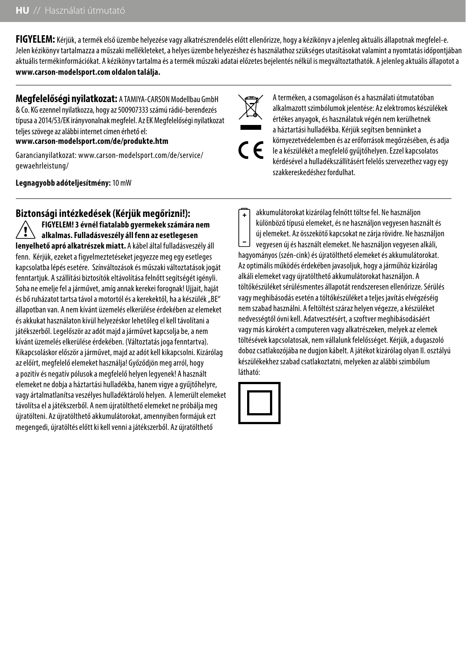**FIGYELEM:** Kérjük, a termék első üzembe helyezése vagy alkatrészrendelés előtt ellenőrizze, hogy a kézikönyv a jelenleg aktuális állapotnak megfelel-e. Jelen kézikönyv tartalmazza a műszaki mellékleteket, a helyes üzembe helyezéshez és használathoz szükséges utasításokat valamint a nyomtatás időpontjában aktuális termékinformációkat. A kézikönyv tartalma és a termék műszaki adatai előzetes bejelentés nélkül is megváltoztathatók. A jelenleg aktuális állapotot a **www.carson-modelsport.com oldalon találja.**

**Megfelelőségi nyilatkozat:** A TAMIYA-CARSON Modellbau GmbH & Co. KG ezennel nyilatkozza, hogy az 500907333 számú rádió-berendezés típusa a 2014/53/EK irányvonalnak megfelel. Az EK Megfelelőségi nyilatkozat teljes szövege az alábbi internet címen érhető el:

**www.carson-modelsport.com/de/produkte.htm**

Garancianyilatkozat: www.carson-modelsport.com/de/service/ gewaehrleistung/

**Legnagyobb adóteljesítmény:** 10 mW

**Biztonsági intézkedések (Kérjük megőrizni!):** 

**FIGYELEM! 3 évnél fiatalabb gyermekek számára nem alkalmas. Fulladásveszély áll fenn az esetlegesen lenyelhető apró alkatrészek miatt.** A kábel által fulladásveszély áll fenn. Kérjük, ezeket a figyelmeztetéseket jegyezze meg egy esetleges kapcsolatba lépés esetére. Színváltozások és műszaki változtatások jogát fenntartjuk. A szállítási biztosítók eltávolítása felnőtt segítségét igényli. Soha ne emelje fel a járművet, amíg annak kerekei forognak! Ujjait, haját és bő ruházatot tartsa távol a motortól és a kerekektől, ha a készülék "BE" állapotban van. A nem kívánt üzemelés elkerülése érdekében az elemeket és akkukat használaton kívül helyezéskor lehetőleg el kell távolítani a játékszerből. Legelőször az adót majd a járművet kapcsolja be, a nem kívánt üzemelés elkerülése érdekében. (Változtatás joga fenntartva). Kikapcsoláskor először a járművet, majd az adót kell kikapcsolni. Kizárólag az előírt, megfelelő elemeket használja! Győződjön meg arról, hogy a pozitív és negatív pólusok a megfelelő helyen legyenek! A használt elemeket ne dobja a háztartási hulladékba, hanem vigye a gyűjtőhelyre, vagy ártalmatlanítsa veszélyes hulladéktároló helyen. A lemerült elemeket távolítsa el a játékszerből. A nem újratölthető elemeket ne próbálja meg újratölteni. Az újratölthető akkumulátorokat, amennyiben formájuk ezt megengedi, újratöltés előtt ki kell venni a játékszerből. Az újratölthető

A terméken, a csomagoláson és a használati útmutatóban alkalmazott szimbólumok jelentése: Az elektromos készülékek értékes anyagok, és használatuk végén nem kerülhetnek a háztartási hulladékba. Kérjük segítsen bennünket a környezetvédelemben és az erőforrások megőrzésében, és adja le a készülékét a megfelelő gyűjtőhelyen. Ezzel kapcsolatos kérdésével a hulladékszállításért felelős szervezethez vagy egy szakkereskedéshez fordulhat.

akkumulátorokat kizárólag felnőtt töltse fel. Ne használjon különböző típusú elemeket, és ne használjon vegyesen használt és új elemeket. Az összekötő kapcsokat ne zárja rövidre. Ne használjon vegyesen új és használt elemeket. Ne használjon vegyesen alkáli, hagyományos (szén-cink) és újratölthető elemeket és akkumulátorokat. Az optimális működés érdekében javasoljuk, hogy a járműhöz kizárólag alkáli elemeket vagy újratölthető akkumulátorokat használjon. A töltőkészüléket sérülésmentes állapotát rendszeresen ellenőrizze. Sérülés vagy meghibásodás esetén a töltőkészüléket a teljes javítás elvégzéséig nem szabad használni. A feltöltést száraz helyen végezze, a készüléket nedvességtől óvni kell. Adatvesztésért, a szoftver meghibásodásáért vagy más károkért a computeren vagy alkatrészeken, melyek az elemek töltésévek kapcsolatosak, nem vállalunk felelősséget. Kérjük, a dugaszoló doboz csatlakozójába ne dugjon kábelt. A játékot kizárólag olyan II. osztályú készülékekhez szabad csatlakoztatni, melyeken az alábbi szimbólum látható:

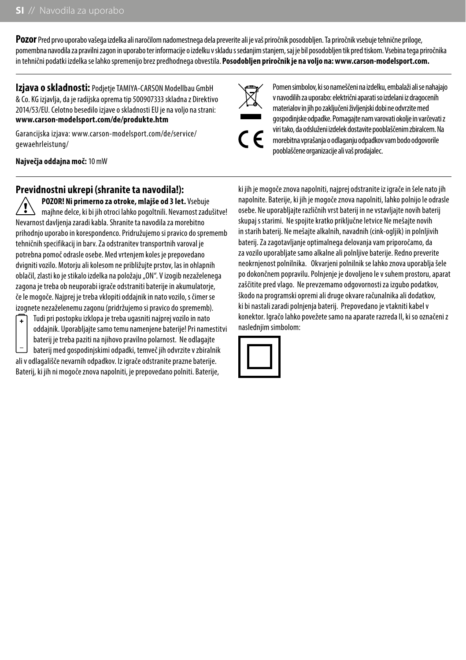**Pozor** Pred prvo uporabo vašega izdelka ali naročilom nadomestnega dela preverite ali je vaš priročnik posodobljen. Ta priročnik vsebuje tehnične priloge, pomembna navodila za pravilni zagon in uporabo ter informacije o izdelku v skladu s sedanjim stanjem, saj je bil posodobljen tik pred tiskom. Vsebina tega priročnika in tehnični podatki izdelka se lahko spremenijo brez predhodnega obvestila. **Posodobljen priročnik je na voljo na: www.carson-modelsport.com.**

**Izjava o skladnosti:** Podjetje TAMIYA-CARSON Modellbau GmbH & Co. KG izjavlja, da je radijska oprema tip 500907333 skladna z Direktivo 2014/53/EU. Celotno besedilo izjave o skladnosti EU je na voljo na strani: **www.carson-modelsport.com/de/produkte.htm**

Garancijska izjava: www.carson-modelsport.com/de/service/ gewaehrleistung/

**Največja oddajna moč:** 10 mW

## **Previdnostni ukrepi (shranite ta navodila!):**

**POZOR! Ni primerno za otroke, mlajše od 3 let.** Vsebuje majhne delce, ki bi jih otroci lahko pogoltnili. Nevarnost zadušitve! Nevarnost davljenja zaradi kabla. Shranite ta navodila za morebitno prihodnjo uporabo in korespondenco. Pridružujemo si pravico do sprememb tehničnih specifikacij in barv. Za odstranitev transportnih varoval je potrebna pomoč odrasle osebe. Med vrtenjem koles je prepovedano dvigniti vozilo. Motorju ali kolesom ne približujte prstov, las in ohlapnih oblačil, zlasti ko je stikalo izdelka na položaju "ON". V izogib nezaželenega zagona je treba ob neuporabi igrače odstraniti baterije in akumulatorje, če le mogoče. Najprej je treba vklopiti oddajnik in nato vozilo, s čimer se izognete nezaželenemu zagonu (pridržujemo si pravico do sprememb).

Tudi pri postopku izklopa je treba ugasniti najprej vozilo in nato oddajnik. Uporabljajte samo temu namenjene baterije! Pri namestitvi baterij je treba paziti na njihovo pravilno polarnost. Ne odlagajte

baterij med gospodinjskimi odpadki, temveč jih odvrzite v zbiralnik ali v odlagališče nevarnih odpadkov. Iz igrače odstranite prazne baterije. Baterij, ki jih ni mogoče znova napolniti, je prepovedano polniti. Baterije,

Pomen simbolov, ki so nameščeni na izdelku, embalaži ali se nahajajo v navodilih za uporabo: električni aparati so izdelani iz dragocenih materialov in jih po zaključeni življenjski dobi ne odvrzite med gospodinjske odpadke. Pomagajte nam varovati okolje in varčevati z viri tako, da odsluženi izdelek dostavite pooblaščenim zbiralcem. Na morebitna vprašanja o odlaganju odpadkov vam bodo odgovorile pooblaščene organizacije ali vaš prodajalec.

ki jih je mogoče znova napolniti, najprej odstranite iz igrače in šele nato jih napolnite. Baterije, ki jih je mogoče znova napolniti, lahko polnijo le odrasle osebe. Ne uporabljajte različnih vrst baterij in ne vstavljajte novih baterij skupaj s starimi. Ne spojite kratko priključne letvice Ne mešajte novih in starih baterij. Ne mešajte alkalnih, navadnih (cink-ogljik) in polnljivih baterij. Za zagotavljanje optimalnega delovanja vam priporočamo, da za vozilo uporabljate samo alkalne ali polnljive baterije. Redno preverite neokrnjenost polnilnika. Okvarjeni polnilnik se lahko znova uporablja šele po dokončnem popravilu. Polnjenje je dovoljeno le v suhem prostoru, aparat zaščitite pred vlago. Ne prevzemamo odgovornosti za izgubo podatkov, škodo na programski opremi ali druge okvare računalnika ali dodatkov, ki bi nastali zaradi polnjenja baterij. Prepovedano je vtakniti kabel v konektor. Igračo lahko povežete samo na aparate razreda II, ki so označeni z nasledniim simbolom:



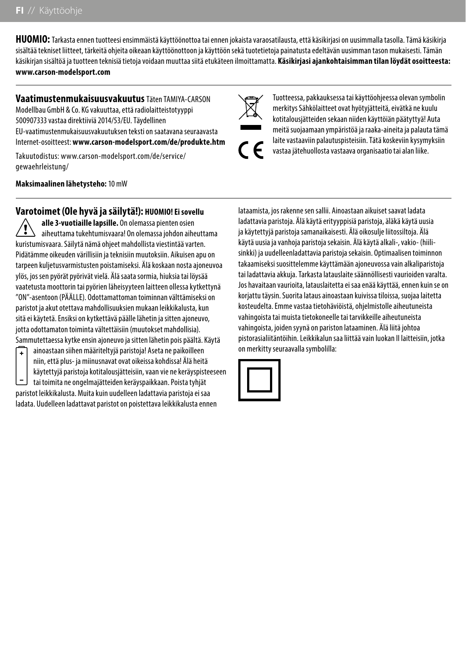**HUOMIO:** Tarkasta ennen tuotteesi ensimmäistä käyttöönottoa tai ennen jokaista varaosatilausta, että käsikirjasi on uusimmalla tasolla. Tämä käsikirja sisältää tekniset liitteet, tärkeitä ohjeita oikeaan käyttöönottoon ja käyttöön sekä tuotetietoja painatusta edeltävän uusimman tason mukaisesti. Tämän käsikirjan sisältöä ja tuotteen teknisiä tietoja voidaan muuttaa siitä etukäteen ilmoittamatta. **Käsikirjasi ajankohtaisimman tilan löydät osoitteesta: www.carson-modelsport.com**

**Vaatimustenmukaisuusvakuutus** Täten TAMIYA-CARSON Modellbau GmbH & Co. KG vakuuttaa, että radiolaitteistotyyppi 500907333 vastaa direktiiviä 2014/53/EU. Täydellinen EU-vaatimustenmukaisuusvakuutuksen teksti on saatavana seuraavasta Internet-osoitteest: **www.carson-modelsport.com/de/produkte.htm**

Takuutodistus: www.carson-modelsport.com/de/service/ gewaehrleistung/

**Maksimaalinen lähetysteho:** 10 mW

## **Varotoimet (Ole hyvä ja säilytä!): HUOMIO! Ei sovellu**

**alle 3-vuotiaille lapsille.** On olemassa pienten osien aiheuttama tukehtumisvaara! On olemassa johdon aiheuttama kuristumisvaara. Säilytä nämä ohjeet mahdollista viestintää varten. Pidätämme oikeuden värillisiin ja teknisiin muutoksiin. Aikuisen apu on tarpeen kuljetusvarmistusten poistamiseksi. Älä koskaan nosta ajoneuvoa ylös, jos sen pyörät pyörivät vielä. Älä saata sormia, hiuksia tai löysää vaatetusta moottorin tai pyörien läheisyyteen laitteen ollessa kytkettynä "ON"-asentoon (PÄÄLLE). Odottamattoman toiminnan välttämiseksi on paristot ja akut otettava mahdollisuuksien mukaan leikkikalusta, kun sitä ei käytetä. Ensiksi on kytkettävä päälle lähetin ja sitten ajoneuvo, jotta odottamaton toiminta vältettäisiin (muutokset mahdollisia). Sammutettaessa kytke ensin ajoneuvo ja sitten lähetin pois päältä. Käytä

ainoastaan siihen määriteltyjä paristoja! Aseta ne paikoilleen  $\ddot{\phantom{1}}$ niin, että plus- ja miinusnavat ovat oikeissa kohdissa! Älä heitä käytettyjä paristoja kotitalousjätteisiin, vaan vie ne keräyspisteeseen tai toimita ne ongelmajätteiden keräyspaikkaan. Poista tyhjät paristot leikkikalusta. Muita kuin uudelleen ladattavia paristoja ei saa ladata. Uudelleen ladattavat paristot on poistettava leikkikalusta ennen

Tuotteessa, pakkauksessa tai käyttöohjeessa olevan symbolin merkitys Sähkölaitteet ovat hyötyjätteitä, eivätkä ne kuulu kotitalousjätteiden sekaan niiden käyttöiän päätyttyä! Auta meitä suojaamaan ympäristöä ja raaka-aineita ja palauta tämä laite vastaaviin palautuspisteisiin. Tätä koskeviin kysymyksiin vastaa jätehuollosta vastaava organisaatio tai alan liike.

lataamista, jos rakenne sen sallii. Ainoastaan aikuiset saavat ladata ladattavia paristoja. Älä käytä erityyppisiä paristoja, äläkä käytä uusia ja käytettyjä paristoja samanaikaisesti. Älä oikosulje liitossiltoja. Älä käytä uusia ja vanhoja paristoja sekaisin. Älä käytä alkali-, vakio- (hiilisinkki) ja uudelleenladattavia paristoja sekaisin. Optimaalisen toiminnon takaamiseksi suosittelemme käyttämään ajoneuvossa vain alkaliparistoja tai ladattavia akkuja. Tarkasta latauslaite säännöllisesti vaurioiden varalta. Jos havaitaan vaurioita, latauslaitetta ei saa enää käyttää, ennen kuin se on korjattu täysin. Suorita lataus ainoastaan kuivissa tiloissa, suojaa laitetta kosteudelta. Emme vastaa tietohäviöistä, ohjelmistolle aiheutuneista vahingoista tai muista tietokoneelle tai tarvikkeille aiheutuneista vahingoista, joiden syynä on pariston lataaminen. Älä liitä johtoa pistorasialiitäntöihin. Leikkikalun saa liittää vain luokan II laitteisiin, jotka on merkitty seuraavalla symbolilla:



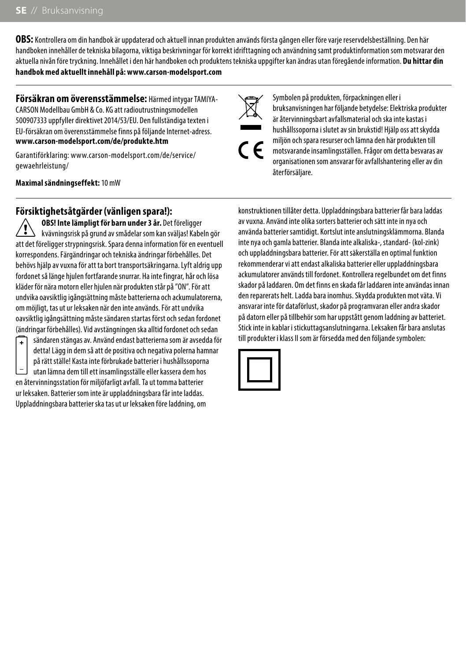**OBS:** Kontrollera om din handbok är uppdaterad och aktuell innan produkten används första gången eller före varje reservdelsbeställning. Den här handboken innehåller de tekniska bilagorna, viktiga beskrivningar för korrekt idrifttagning och användning samt produktinformation som motsvarar den aktuella nivån före tryckning. Innehållet i den här handboken och produktens tekniska uppgifter kan ändras utan föregående information. **Du hittar din handbok med aktuellt innehåll på: www.carson-modelsport.com**

**Försäkran om överensstämmelse:** Härmed intygar TAMIYA-CARSON Modellbau GmbH & Co. KG att radioutrustningsmodellen 500907333 uppfyller direktivet 2014/53/EU. Den fullständiga texten i EU-försäkran om överensstämmelse finns på följande Internet-adress. **www.carson-modelsport.com/de/produkte.htm**

Garantiförklaring: www.carson-modelsport.com/de/service/ gewaehrleistung/

**Maximal sändningseffekt:** 10 mW

## **Försiktighetsåtgärder (vänligen spara!):**

**OBS! Inte lämpligt för barn under 3 år.** Det föreligger kvävningsrisk på grund av smådelar som kan sväljas! Kabeln gör att det föreligger strypningsrisk. Spara denna information för en eventuell korrespondens. Färgändringar och tekniska ändringar förbehålles. Det behövs hjälp av vuxna för att ta bort transportsäkringarna. Lyft aldrig upp fordonet så länge hjulen fortfarande snurrar. Ha inte fingrar, hår och lösa kläder för nära motorn eller hjulen när produkten står på "ON". För att undvika oavsiktlig igångsättning måste batterierna och ackumulatorerna, om möjligt, tas ut ur leksaken när den inte används. För att undvika oavsiktlig igångsättning måste sändaren startas först och sedan fordonet (ändringar förbehålles). Vid avstängningen ska alltid fordonet och sedan



sändaren stängas av. Använd endast batterierna som är avsedda för detta! Lägg in dem så att de positiva och negativa polerna hamnar på rätt ställe! Kasta inte förbrukade batterier i hushållssoporna utan lämna dem till ett insamlingsställe eller kassera dem hos en återvinningsstation för miljöfarligt avfall. Ta ut tomma batterier ur leksaken. Batterier som inte är uppladdningsbara får inte laddas. Uppladdningsbara batterier ska tas ut ur leksaken före laddning, om

Symbolen på produkten, förpackningen eller i bruksanvisningen har följande betydelse: Elektriska produkter är återvinningsbart avfallsmaterial och ska inte kastas i hushållssoporna i slutet av sin brukstid! Hjälp oss att skydda miljön och spara resurser och lämna den här produkten till motsvarande insamlingsställen. Frågor om detta besvaras av organisationen som ansvarar för avfallshantering eller av din återförsäljare.

konstruktionen tillåter detta. Uppladdningsbara batterier får bara laddas av vuxna. Använd inte olika sorters batterier och sätt inte in nya och använda batterier samtidigt. Kortslut inte anslutningsklämmorna. Blanda inte nya och gamla batterier. Blanda inte alkaliska-, standard- (kol-zink) och uppladdningsbara batterier. För att säkerställa en optimal funktion rekommenderar vi att endast alkaliska batterier eller uppladdningsbara ackumulatorer används till fordonet. Kontrollera regelbundet om det finns skador på laddaren. Om det finns en skada får laddaren inte användas innan den reparerats helt. Ladda bara inomhus. Skydda produkten mot väta. Vi ansvarar inte för dataförlust, skador på programvaran eller andra skador på datorn eller på tillbehör som har uppstått genom laddning av batteriet. Stick inte in kablar i stickuttagsanslutningarna. Leksaken får bara anslutas till produkter i klass II som är försedda med den följande symbolen:

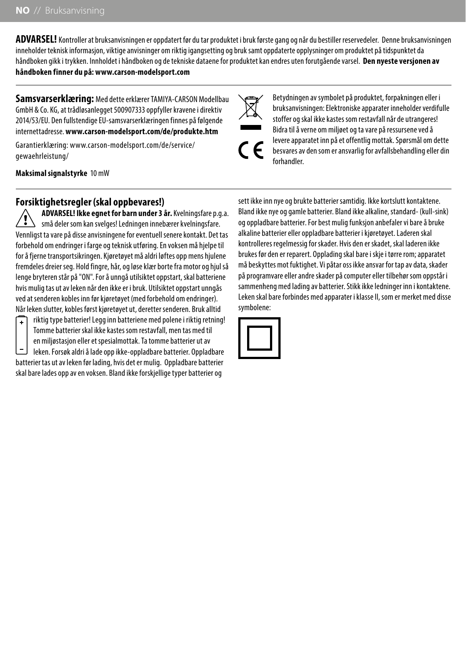**ADVARSEL!** Kontroller at bruksanvisningen er oppdatert før du tar produktet i bruk første gang og når du bestiller reservedeler. Denne bruksanvisningen inneholder teknisk informasjon, viktige anvisninger om riktig igangsetting og bruk samt oppdaterte opplysninger om produktet på tidspunktet da håndboken gikk i trykken. Innholdet i håndboken og de tekniske dataene for produktet kan endres uten forutgående varsel. **Den nyeste versjonen av håndboken finner du på: www.carson-modelsport.com**

**Samsvarserklæring:** Med dette erklærer TAMIYA-CARSON Modellbau GmbH & Co. KG, at trådløsanlegget 500907333 oppfyller kravene i direktiv 2014/53/EU. Den fullstendige EU-samsvarserklæringen finnes på følgende internettadresse. **www.carson-modelsport.com/de/produkte.htm**

Garantierklæring: www.carson-modelsport.com/de/service/ gewaehrleistung/

**Maksimal signalstyrke** 10 mW

## **Forsiktighetsregler (skal oppbevares!)**

**ADVARSEL! Ikke egnet for barn under 3 år.** Kvelningsfare p.g.a. små deler som kan svelges! Ledningen innebærer kvelningsfare. Vennligst ta vare på disse anvisningene for eventuell senere kontakt. Det tas forbehold om endringer i farge og teknisk utføring. En voksen må hjelpe til for å fjerne transportsikringen. Kjøretøyet må aldri løftes opp mens hjulene fremdeles dreier seg. Hold fingre, hår, og løse klær borte fra motor og hjul så lenge bryteren står på "ON". For å unngå utilsiktet oppstart, skal batteriene hvis mulig tas ut av leken når den ikke er i bruk. Utilsiktet oppstart unngås ved at senderen kobles inn før kjøretøyet (med forbehold om endringer). Når leken slutter, kobles først kjøretøyet ut, deretter senderen. Bruk alltid



riktig type batterier! Legg inn batteriene med polene i riktig retning! Tomme batterier skal ikke kastes som restavfall, men tas med til en miljøstasjon eller et spesialmottak. Ta tomme batterier ut av leken. Forsøk aldri å lade opp ikke-oppladbare batterier. Oppladbare

batterier tas ut av leken før lading, hvis det er mulig. Oppladbare batterier skal bare lades opp av en voksen. Bland ikke forskjellige typer batterier og sett ikke inn nye og brukte batterier samtidig. Ikke kortslutt kontaktene. Bland ikke nye og gamle batterier. Bland ikke alkaline, standard- (kull-sink) og oppladbare batterier. For best mulig funksjon anbefaler vi bare å bruke alkaline batterier eller oppladbare batterier i kjøretøyet. Laderen skal kontrolleres regelmessig for skader. Hvis den er skadet, skal laderen ikke brukes før den er reparert. Opplading skal bare i skje i tørre rom; apparatet må beskyttes mot fuktighet. Vi påtar oss ikke ansvar for tap av data, skader på programvare eller andre skader på computer eller tilbehør som oppstår i sammenheng med lading av batterier. Stikk ikke ledninger inn i kontaktene. Leken skal bare forbindes med apparater i klasse II, som er merket med disse symbolene:



Betydningen av symbolet på produktet, forpakningen eller i bruksanvisningen: Elektroniske apparater inneholder verdifulle stoffer og skal ikke kastes som restavfall når de utrangeres! Bidra til å verne om miljøet og ta vare på ressursene ved å levere apparatet inn på et offentlig mottak. Spørsmål om dette besvares av den som er ansvarlig for avfallsbehandling eller din forhandler.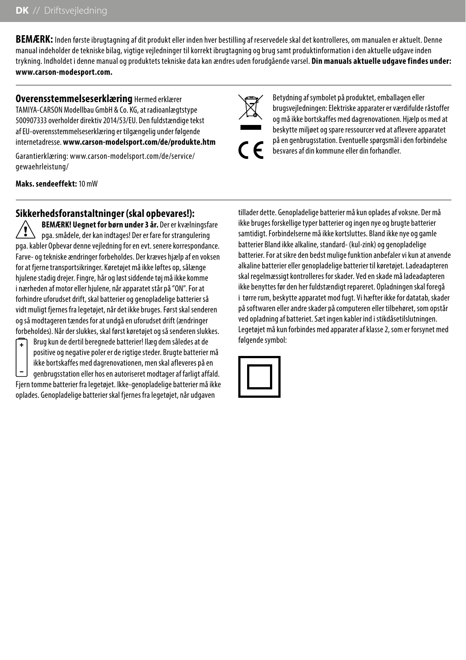**BEMÆRK:** Inden første ibrugtagning af dit produkt eller inden hver bestilling af reservedele skal det kontrolleres, om manualen er aktuelt. Denne manual indeholder de tekniske bilag, vigtige veiledninger til korrekt ibrugtagning og brug samt produktinformation i den aktuelle udgave inden trykning. Indholdet i denne manual og produktets tekniske data kan ændres uden forudgående varsel. **Din manuals aktuelle udgave findes under: www.carson-modesport.com.**

**Overensstemmelseserklæring** Hermed erklærer TAMIYA-CARSON Modellbau GmbH & Co. KG, at radioanlægtstype 500907333 overholder direktiv 2014/53/EU. Den fuldstændige tekst af EU-overensstemmelseserklæring er tilgængelig under følgende internetadresse. **www.carson-modelsport.com/de/produkte.htm**

Garantierklæring: www.carson-modelsport.com/de/service/ gewaehrleistung/

**Maks. sendeeffekt:** 10 mW

## **Sikkerhedsforanstaltninger (skal opbevares!):**

**BEMÆRK! Uegnet for børn under 3 år.** Der er kvælningsfare pga. smådele, der kan indtages! Der er fare for strangulering pga. kabler Opbevar denne vejledning for en evt. senere korrespondance. Farve- og tekniske ændringer forbeholdes. Der kræves hjælp af en voksen for at fjerne transportsikringer. Køretøjet må ikke løftes op, sålænge hjulene stadig drejer. Fingre, hår og løst siddende tøj må ikke komme i nærheden af motor eller hjulene, når apparatet står på "ON". For at forhindre uforudset drift, skal batterier og genopladelige batterier så vidt muligt fjernes fra legetøjet, når det ikke bruges. Først skal senderen og så modtageren tændes for at undgå en uforudset drift (ændringer forbeholdes). Når der slukkes, skal først køretøjet og så senderen slukkes.



Brug kun de dertil beregnede batterier! Ilæg dem således at de positive og negative poler er de rigtige steder. Brugte batterier må ikke bortskaffes med dagrenovationen, men skal afleveres på en genbrugsstation eller hos en autoriseret modtager af farligt affald.

Fjern tomme batterier fra legetøjet. Ikke-genopladelige batterier må ikke oplades. Genopladelige batterier skal fjernes fra legetøjet, når udgaven

Betydning af symbolet på produktet, emballagen eller brugsvejledningen: Elektriske apparater er værdifulde råstoffer og må ikke bortskaffes med dagrenovationen. Hjælp os med at beskytte miljøet og spare ressourcer ved at aflevere apparatet på en genbrugsstation. Eventuelle spørgsmål i den forbindelse besvares af din kommune eller din forhandler.

tillader dette. Genopladelige batterier må kun oplades af voksne. Der må ikke bruges forskellige typer batterier og ingen nye og brugte batterier samtidigt. Forbindelserne må ikke kortsluttes. Bland ikke nye og gamle batterier Bland ikke alkaline, standard- (kul-zink) og genopladelige batterier. For at sikre den bedst mulige funktion anbefaler vi kun at anvende alkaline batterier eller genopladelige batterier til køretøjet. Ladeadapteren skal regelmæssigt kontrolleres for skader. Ved en skade må ladeadapteren ikke benyttes før den her fuldstændigt repareret. Opladningen skal foregå i tørre rum, beskytte apparatet mod fugt. Vi hæfter ikke for datatab, skader på softwaren eller andre skader på computeren eller tilbehøret, som opstår ved opladning af batteriet. Sæt ingen kabler ind i stikdåsetilslutningen. Legetøjet må kun forbindes med apparater af klasse 2, som er forsynet med følgende symbol:

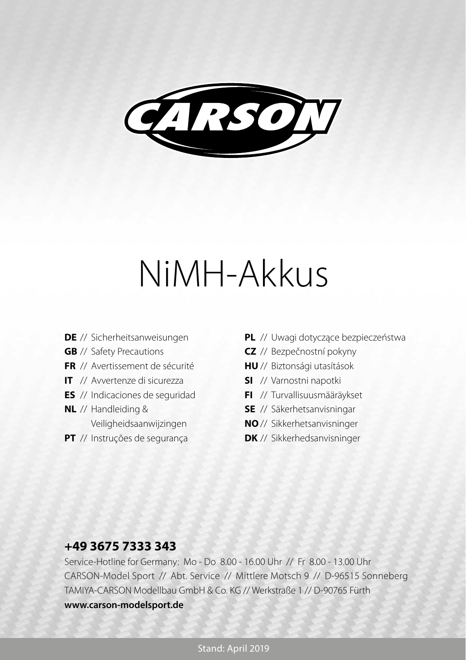

# NiMH-Akkus

- **DE** // Sicherheitsanweisungen
- **GB** // Safety Precautions
- **FR** // Avertissement de sécurité
- **IT** // Avvertenze di sicurezza
- **ES** // Indicaciones de seguridad
- **NL** // Handleiding & Veiligheidsaanwijzingen
- **PT** // Instruções de segurança
- **PL** // Uwagi dotyczące bezpieczeństwa
- **CZ** // Bezpečnostní pokyny
- **HU** // Biztonsági utasítások
- **SI** // Varnostni napotki
- **FI** // Turvallisuusmääräykset
- **SE** // Säkerhetsanvisningar
- **NO** // Sikkerhetsanvisninger
- **DK** // Sikkerhedsanvisninger

## **+49 3675 7333 343**

Service-Hotline for Germany: Mo - Do 8.00 - 16.00 Uhr // Fr 8.00 - 13.00 Uhr CARSON-Model Sport // Abt. Service // Mittlere Motsch 9 // D-96515 Sonneberg TAMIYA-CARSON Modellbau GmbH & Co. KG // Werkstraße 1 // D-90765 Fürth **www.carson-modelsport.de**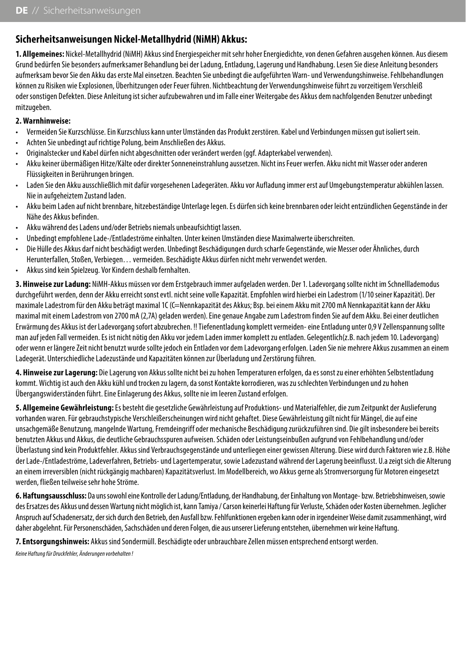## **Sicherheitsanweisungen Nickel-Metallhydrid (NiMH) Akkus:**

**1. Allgemeines:** Nickel-Metallhydrid (NiMH) Akkus sind Energiespeicher mit sehr hoher Energiedichte, von denen Gefahren ausgehen können. Aus diesem Grund bedürfen Sie besonders aufmerksamer Behandlung bei der Ladung, Entladung, Lagerung und Handhabung. Lesen Sie diese Anleitung besonders aufmerksam bevor Sie den Akku das erste Mal einsetzen. Beachten Sie unbedingt die aufgeführten Warn- und Verwendungshinweise. Fehlbehandlungen können zu Risiken wie Explosionen, Überhitzungen oder Feuer führen. Nichtbeachtung der Verwendungshinweise führt zu vorzeitigem Verschleiß oder sonstigen Defekten. Diese Anleitung ist sicher aufzubewahren und im Falle einer Weitergabe des Akkus dem nachfolgenden Benutzer unbedingt mitzugeben.

#### **2. Warnhinweise:**

- Vermeiden Sie Kurzschlüsse. Ein Kurzschluss kann unter Umständen das Produkt zerstören. Kabel und Verbindungen müssen gut isoliert sein.
- Achten Sie unbedingt auf richtige Polung, beim Anschließen des Akkus.
- Originalstecker und Kabel dürfen nicht abgeschnitten oder verändert werden (ggf. Adapterkabel verwenden).
- Akku keiner übermäßigen Hitze/Kälte oder direkter Sonneneinstrahlung aussetzen. Nicht ins Feuer werfen. Akku nicht mit Wasser oder anderen Flüssigkeiten in Berührungen bringen.
- Laden Sie den Akku ausschließlich mit dafür vorgesehenen Ladegeräten. Akku vor Aufladung immer erst auf Umgebungstemperatur abkühlen lassen. Nie in aufgeheiztem Zustand laden.
- Akku beim Laden auf nicht brennbare, hitzebeständige Unterlage legen. Es dürfen sich keine brennbaren oder leicht entzündlichen Gegenstände in der Nähe des Akkus befinden.
- Akku während des Ladens und/oder Betriebs niemals unbeaufsichtigt lassen.
- Unbedingt empfohlene Lade-/Entladeströme einhalten. Unter keinen Umständen diese Maximalwerte überschreiten.
- Die Hülle des Akkus darf nicht beschädigt werden. Unbedingt Beschädigungen durch scharfe Gegenstände, wie Messer oder Ähnliches, durch Herunterfallen, Stoßen, Verbiegen… vermeiden. Beschädigte Akkus dürfen nicht mehr verwendet werden.
- Akkus sind kein Spielzeug. Vor Kindern deshalb fernhalten.

**3. Hinweise zur Ladung:** NiMH-Akkus müssen vor dem Erstgebrauch immer aufgeladen werden. Der 1. Ladevorgang sollte nicht im Schnelllademodus durchgeführt werden, denn der Akku erreicht sonst evtl. nicht seine volle Kapazität. Empfohlen wird hierbei ein Ladestrom (1/10 seiner Kapazität). Der maximale Ladestrom für den Akku beträgt maximal 1C (C=Nennkapazität des Akkus; Bsp. bei einem Akku mit 2700 mA Nennkapazität kann der Akku maximal mit einem Ladestrom von 2700 mA (2,7A) geladen werden). Eine genaue Angabe zum Ladestrom finden Sie auf dem Akku. Bei einer deutlichen Erwärmung des Akkus ist der Ladevorgang sofort abzubrechen. !! Tiefenentladung komplett vermeiden- eine Entladung unter 0,9 V Zellenspannung sollte man auf jeden Fall vermeiden. Es ist nicht nötig den Akku vor jedem Laden immer komplett zu entladen. Gelegentlich(z.B. nach jedem 10. Ladevorgang) oder wenn er längere Zeit nicht benutzt wurde sollte jedoch ein Entladen vor dem Ladevorgang erfolgen. Laden Sie nie mehrere Akkus zusammen an einem Ladegerät. Unterschiedliche Ladezustände und Kapazitäten können zur Überladung und Zerstörung führen.

**4. Hinweise zur Lagerung:** Die Lagerung von Akkus sollte nicht bei zu hohen Temperaturen erfolgen, da es sonst zu einer erhöhten Selbstentladung kommt. Wichtig ist auch den Akku kühl und trocken zu lagern, da sonst Kontakte korrodieren, was zu schlechten Verbindungen und zu hohen Übergangswiderständen führt. Eine Einlagerung des Akkus, sollte nie im leeren Zustand erfolgen.

**5. Allgemeine Gewährleistung:** Es besteht die gesetzliche Gewährleistung auf Produktions- und Materialfehler, die zum Zeitpunkt der Auslieferung vorhanden waren. Für gebrauchstypische Verschleißerscheinungen wird nicht gehaftet. Diese Gewährleistung gilt nicht für Mängel, die auf eine unsachgemäße Benutzung, mangelnde Wartung, Fremdeingriff oder mechanische Beschädigung zurückzuführen sind. Die gilt insbesondere bei bereits benutzten Akkus und Akkus, die deutliche Gebrauchsspuren aufweisen. Schäden oder Leistungseinbußen aufgrund von Fehlbehandlung und/oder Überlastung sind kein Produktfehler. Akkus sind Verbrauchsgegenstände und unterliegen einer gewissen Alterung. Diese wird durch Faktoren wie z.B. Höhe der Lade-/Entladeströme, Ladeverfahren, Betriebs- und Lagertemperatur, sowie Ladezustand während der Lagerung beeinflusst. U.a zeigt sich die Alterung an einem irreversiblen (nicht rückgängig machbaren) Kapazitätsverlust. Im Modellbereich, wo Akkus gerne als Stromversorgung für Motoren eingesetzt werden, fließen teilweise sehr hohe Ströme.

**6. Haftungsausschluss:** Da uns sowohl eine Kontrolle der Ladung/Entladung, der Handhabung, der Einhaltung von Montage- bzw. Betriebshinweisen, sowie des Ersatzes des Akkus und dessen Wartung nicht möglich ist, kann Tamiya / Carson keinerlei Haftung für Verluste, Schäden oder Kosten übernehmen. Jeglicher Anspruch auf Schadenersatz, der sich durch den Betrieb, den Ausfall bzw. Fehlfunktionen ergeben kann oder in irgendeiner Weise damit zusammenhängt, wird daher abgelehnt. Für Personenschäden, Sachschäden und deren Folgen, die aus unserer Lieferung entstehen, übernehmen wir keine Haftung.

**7. Entsorgungshinweis:** Akkus sind Sondermüll. Beschädigte oder unbrauchbare Zellen müssen entsprechend entsorgt werden.

*Keine Haftung für Druckfehler, Änderungen vorbehalten !*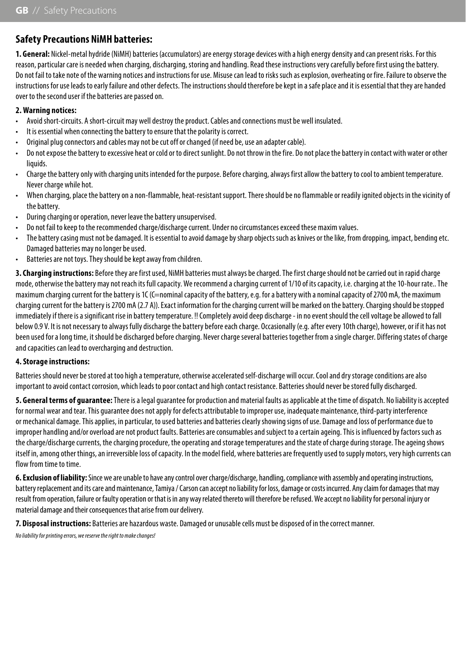## **Safety Precautions NiMH batteries:**

**1. General:** Nickel-metal hydride (NiMH) batteries (accumulators) are energy storage devices with a high energy density and can present risks. For this reason, particular care is needed when charging, discharging, storing and handling. Read these instructions very carefully before first using the battery. Do not fail to take note of the warning notices and instructions for use. Misuse can lead to risks such as explosion, overheating or fire. Failure to observe the instructions for use leads to early failure and other defects. The instructions should therefore be kept in a safe place and it is essential that they are handed over to the second user if the batteries are passed on.

#### **2. Warning notices:**

- Avoid short-circuits. A short-circuit may well destroy the product. Cables and connections must be well insulated.
- It is essential when connecting the battery to ensure that the polarity is correct.
- Original plug connectors and cables may not be cut off or changed (if need be, use an adapter cable).
- Do not expose the battery to excessive heat or cold or to direct sunlight. Do not throw in the fire. Do not place the battery in contact with water or other liquids.
- Charge the battery only with charging units intended for the purpose. Before charging, always first allow the battery to cool to ambient temperature. Never charge while hot.
- When charging, place the battery on a non-flammable, heat-resistant support. There should be no flammable or readily ignited objects in the vicinity of the battery.
- During charging or operation, never leave the battery unsupervised.
- Do not fail to keep to the recommended charge/discharge current. Under no circumstances exceed these maxim values.
- The battery casing must not be damaged. It is essential to avoid damage by sharp objects such as knives or the like, from dropping, impact, bending etc. Damaged batteries may no longer be used.
- Batteries are not toys. They should be kept away from children.

**3. Charging instructions:** Before they are first used, NiMH batteries must always be charged. The first charge should not be carried out in rapid charge mode, otherwise the battery may not reach its full capacity. We recommend a charging current of 1/10 of its capacity, i.e. charging at the 10-hour rate.. The maximum charging current for the battery is 1C (C=nominal capacity of the battery, e.g. for a battery with a nominal capacity of 2700 mA, the maximum charging current for the battery is 2700 mA (2.7 A)). Exact information for the charging current will be marked on the battery. Charging should be stopped immediately if there is a significant rise in battery temperature. !! Completely avoid deep discharge - in no event should the cell voltage be allowed to fall below 0.9 V. It is not necessary to always fully discharge the battery before each charge. Occasionally (e.g. after every 10th charge), however, or if it has not been used for a long time, it should be discharged before charging. Never charge several batteries together from a single charger. Differing states of charge and capacities can lead to overcharging and destruction.

#### **4. Storage instructions:**

Batteries should never be stored at too high a temperature, otherwise accelerated self-discharge will occur. Cool and dry storage conditions are also important to avoid contact corrosion, which leads to poor contact and high contact resistance. Batteries should never be stored fully discharged.

**5. General terms of guarantee:** There is a legal guarantee for production and material faults as applicable at the time of dispatch. No liability is accepted for normal wear and tear. This guarantee does not apply for defects attributable to improper use, inadequate maintenance, third-party interference or mechanical damage. This applies, in particular, to used batteries and batteries clearly showing signs of use. Damage and loss of performance due to improper handling and/or overload are not product faults. Batteries are consumables and subject to a certain ageing. This is influenced by factors such as the charge/discharge currents, the charging procedure, the operating and storage temperatures and the state of charge during storage. The ageing shows itself in, among other things, an irreversible loss of capacity. In the model field, where batteries are frequently used to supply motors, very high currents can flow from time to time.

**6. Exclusion of liability:** Since we are unable to have any control over charge/discharge, handling, compliance with assembly and operating instructions, battery replacement and its care and maintenance, Tamiya / Carson can accept no liability for loss, damage or costs incurred. Any claim for damages that may result from operation, failure or faulty operation or that is in any way related thereto will therefore be refused. We accept no liability for personal injury or material damage and their consequences that arise from our delivery.

**7. Disposal instructions:** Batteries are hazardous waste. Damaged or unusable cells must be disposed of in the correct manner.

*No liability for printing errors, we reserve the right to make changes!*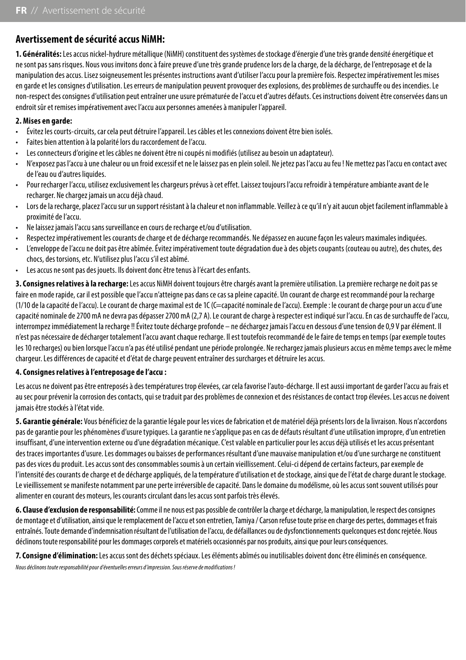## **Avertissement de sécurité accus NiMH:**

**1. Généralités:** Les accus nickel-hydrure métallique (NiMH) constituent des systèmes de stockage d'énergie d'une très grande densité énergétique et ne sont pas sans risques. Nous vous invitons donc à faire preuve d'une très grande prudence lors de la charge, de la décharge, de l'entreposage et de la manipulation des accus. Lisez soigneusement les présentes instructions avant d'utiliser l'accu pour la première fois. Respectez impérativement les mises en garde et les consignes d'utilisation. Les erreurs de manipulation peuvent provoquer des explosions, des problèmes de surchauffe ou des incendies. Le non-respect des consignes d'utilisation peut entraîner une usure prématurée de l'accu et d'autres défauts. Ces instructions doivent être conservées dans un endroit sûr et remises impérativement avec l'accu aux personnes amenées à manipuler l'appareil.

#### **2. Mises en garde:**

- Évitez les courts-circuits, car cela peut détruire l'appareil. Les câbles et les connexions doivent être bien isolés.
- Faites bien attention à la polarité lors du raccordement de l'accu.
- Les connecteurs d'origine et les câbles ne doivent être ni coupés ni modifiés (utilisez au besoin un adaptateur).
- N'exposez pas l'accu à une chaleur ou un froid excessif et ne le laissez pas en plein soleil. Ne jetez pas l'accu au feu ! Ne mettez pas l'accu en contact avec de l'eau ou d'autres liquides.
- Pour recharger l'accu, utilisez exclusivement les chargeurs prévus à cet effet. Laissez toujours l'accu refroidir à température ambiante avant de le recharger. Ne chargez jamais un accu déjà chaud.
- Lors de la recharge, placez l'accu sur un support résistant à la chaleur et non inflammable. Veillez à ce qu'il n'y ait aucun objet facilement inflammable à proximité de l'accu.
- Ne laissez jamais l'accu sans surveillance en cours de recharge et/ou d'utilisation.
- Respectez impérativement les courants de charge et de décharge recommandés. Ne dépassez en aucune façon les valeurs maximales indiquées.
- L'enveloppe de l'accu ne doit pas être abîmée. Évitez impérativement toute dégradation due à des objets coupants (couteau ou autre), des chutes, des chocs, des torsions, etc. N'utilisez plus l'accu s'il est abîmé.
- Les accus ne sont pas des jouets. Ils doivent donc être tenus à l'écart des enfants.

**3. Consignes relatives à la recharge:** Les accus NiMH doivent toujours être chargés avant la première utilisation. La première recharge ne doit pas se faire en mode rapide, car il est possible que l'accu n'atteigne pas dans ce cas sa pleine capacité. Un courant de charge est recommandé pour la recharge (1/10 de la capacité de l'accu). Le courant de charge maximal est de 1C (C=capacité nominale de l'accu). Exemple : le courant de charge pour un accu d'une capacité nominale de 2700 mA ne devra pas dépasser 2700 mA (2,7 A). Le courant de charge à respecter est indiqué sur l'accu. En cas de surchauffe de l'accu, interrompez immédiatement la recharge !! Évitez toute décharge profonde – ne déchargez jamais l'accu en dessous d'une tension de 0,9 V par élément. Il n'est pas nécessaire de décharger totalement l'accu avant chaque recharge. Il est toutefois recommandé de le faire de temps en temps (par exemple toutes les 10 recharges) ou bien lorsque l'accu n'a pas été utilisé pendant une période prolongée. Ne rechargez jamais plusieurs accus en même temps avec le même chargeur. Les différences de capacité et d'état de charge peuvent entraîner des surcharges et détruire les accus.

#### **4. Consignes relatives à l'entreposage de l'accu :**

Les accus ne doivent pas être entreposés à des températures trop élevées, car cela favorise l'auto-décharge. Il est aussi important de garder l'accu au frais et au sec pour prévenir la corrosion des contacts, qui se traduit par des problèmes de connexion et des résistances de contact trop élevées. Les accus ne doivent jamais être stockés à l'état vide.

**5. Garantie générale:** Vous bénéficiez de la garantie légale pour les vices de fabrication et de matériel déjà présents lors de la livraison. Nous n'accordons pas de garantie pour les phénomènes d'usure typiques. La garantie ne s'applique pas en cas de défauts résultant d'une utilisation impropre, d'un entretien insuffisant, d'une intervention externe ou d'une dégradation mécanique. C'est valable en particulier pour les accus déjà utilisés et les accus présentant des traces importantes d'usure. Les dommages ou baisses de performances résultant d'une mauvaise manipulation et/ou d'une surcharge ne constituent pas des vices du produit. Les accus sont des consommables soumis à un certain vieillissement. Celui-ci dépend de certains facteurs, par exemple de l'intensité des courants de charge et de décharge appliqués, de la température d'utilisation et de stockage, ainsi que de l'état de charge durant le stockage. Le vieillissement se manifeste notamment par une perte irréversible de capacité. Dans le domaine du modélisme, où les accus sont souvent utilisés pour alimenter en courant des moteurs, les courants circulant dans les accus sont parfois très élevés.

**6. Clause d'exclusion de responsabilité:** Comme il ne nous est pas possible de contrôler la charge et décharge, la manipulation, le respect des consignes de montage et d'utilisation, ainsi que le remplacement de l'accu et son entretien, Tamiya / Carson refuse toute prise en charge des pertes, dommages et frais entraînés. Toute demande d'indemnisation résultant de l'utilisation de l'accu, de défaillances ou de dysfonctionnements quelconques est donc rejetée. Nous déclinons toute responsabilité pour les dommages corporels et matériels occasionnés par nos produits, ainsi que pour leurs conséquences.

**7. Consigne d'élimination:** Les accus sont des déchets spéciaux. Les éléments abîmés ou inutilisables doivent donc être éliminés en conséquence.

*Nous déclinons toute responsabilité pour d'éventuelles erreurs d'impression. Sous réserve de modifications !*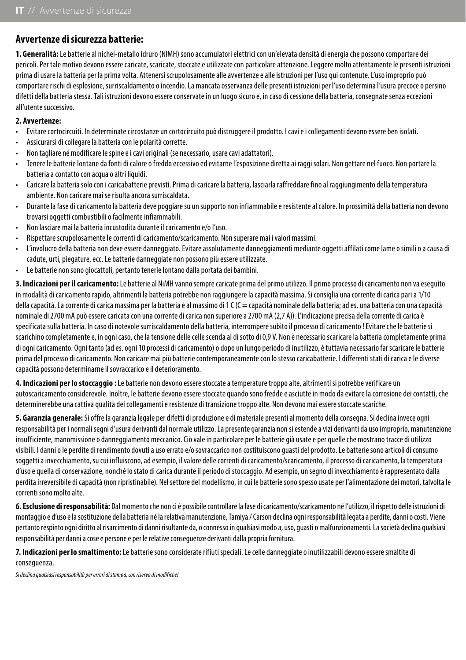## **Avvertenze di sicurezza batterie:**

**1. Generalità:** Le batterie al nichel-metallo idruro (NIMH) sono accumulatori elettrici con un'elevata densità di energia che possono comportare dei pericoli. Per tale motivo devono essere caricate, scaricate, stoccate e utilizzate con particolare attenzione. Leggere molto attentamente le presenti istruzioni prima di usare la batteria per la prima volta. Attenersi scrupolosamente alle avvertenze e alle istruzioni per l'uso qui contenute. L'uso improprio può comportare rischi di esplosione, surriscaldamento o incendio. La mancata osservanza delle presenti istruzioni per l'uso determina l'usura precoce o persino difetti della batteria stessa. Tali istruzioni devono essere conservate in un luogo sicuro e, in caso di cessione della batteria, consegnate senza eccezioni all'utente successivo.

#### **2. Avvertenze:**

- Evitare cortocircuiti. In determinate circostanze un cortocircuito può distruggere il prodotto. I cavi e i collegamenti devono essere ben isolati.
- Assicurarsi di collegare la batteria con le polarità corrette.
- Non tagliare né modificare le spine e i cavi originali (se necessario, usare cavi adattatori).
- Tenere le batterie lontane da fonti di calore o freddo eccessivo ed evitarne l'esposizione diretta ai raggi solari. Non gettare nel fuoco. Non portare la batteria a contatto con acqua o altri liquidi.
- Caricare la batteria solo con i caricabatterie previsti. Prima di caricare la batteria, lasciarla raffreddare fino al raggiungimento della temperatura ambiente. Non caricare mai se risulta ancora surriscaldata.
- Durante la fase di caricamento la batteria deve poggiare su un supporto non infiammabile e resistente al calore. In prossimità della batteria non devono trovarsi oggetti combustibili o facilmente infiammabili.
- Non lasciare mai la batteria incustodita durante il caricamento e/o l'uso.
- Rispettare scrupolosamente le correnti di caricamento/scaricamento. Non superare mai i valori massimi.
- L'involucro della batteria non deve essere danneggiato. Evitare assolutamente danneggiamenti mediante oggetti affilati come lame o simili o a causa di cadute, urti, piegature, ecc. Le batterie danneggiate non possono più essere utilizzate.
- Le batterie non sono giocattoli, pertanto tenerle lontano dalla portata dei bambini.

**3. Indicazioni per il caricamento:** Le batterie al NiMH vanno sempre caricate prima del primo utilizzo. Il primo processo di caricamento non va eseguito in modalità di caricamento rapido, altrimenti la batteria potrebbe non raggiungere la capacità massima. Si consiglia una corrente di carica pari a 1/10 della capacità. La corrente di carica massima per la batteria è al massimo di 1 C (C = capacità nominale della batteria; ad es. una batteria con una capacità nominale di 2700 mA può essere caricata con una corrente di carica non superiore a 2700 mA (2,7 A)). L'indicazione precisa della corrente di carica è specificata sulla batteria. In caso di notevole surriscaldamento della batteria, interrompere subito il processo di caricamento ! Evitare che le batterie si scarichino completamente e, in ogni caso, che la tensione delle celle scenda al di sotto di 0,9 V. Non è necessario scaricare la batteria completamente prima di ogni caricamento. Ogni tanto (ad es. ogni 10 processi di caricamento) o dopo un lungo periodo di inutilizzo, è tuttavia necessario far scaricare le batterie prima del processo di caricamento. Non caricare mai più batterie contemporaneamente con lo stesso caricabatterie. I differenti stati di carica e le diverse capacità possono determinarne il sovraccarico e il deterioramento.

**4. Indicazioni per lo stoccaggio :** Le batterie non devono essere stoccate a temperature troppo alte, altrimenti si potrebbe verificare un autoscaricamento considerevole. Inoltre, le batterie devono essere stoccate quando sono fredde e asciutte in modo da evitare la corrosione dei contatti, che determinerebbe una cattiva qualità dei collegamenti e resistenze di transizione troppo alte. Non devono mai essere stoccate scariche.

**5. Garanzia generale:** Si offre la garanzia legale per difetti di produzione e di materiale presenti al momento della consegna. Si declina invece ogni responsabilità per i normali segni d'usura derivanti dal normale utilizzo. La presente garanzia non si estende a vizi derivanti da uso improprio, manutenzione insufficiente, manomissione o danneggiamento meccanico. Ciò vale in particolare per le batterie già usate e per quelle che mostrano tracce di utilizzo visibili. I danni o le perdite di rendimento dovuti a uso errato e/o sovraccarico non costituiscono guasti del prodotto. Le batterie sono articoli di consumo soggetti a invecchiamento, su cui influiscono, ad esempio, il valore delle correnti di caricamento/scaricamento, il processo di caricamento, la temperatura d'uso e quella di conservazione, nonché lo stato di carica durante il periodo di stoccaggio. Ad esempio, un segno di invecchiamento è rappresentato dalla perdita irreversibile di capacità (non ripristinabile). Nel settore del modellismo, in cui le batterie sono spesso usate per l'alimentazione dei motori, talvolta le correnti sono molto alte.

**6. Esclusione di responsabilità:** Dal momento che non ci è possibile controllare la fase di caricamento/scaricamento né l'utilizzo, il rispetto delle istruzioni di montaggio e d'uso e la sostituzione della batteria né la relativa manutenzione, Tamiya / Carson declina ogni responsabilità legata a perdite, danni o costi. Viene pertanto respinto ogni diritto al risarcimento di danni risultante da, o connesso in qualsiasi modo a, uso, guasti o malfunzionamenti. La società declina qualsiasi responsabilità per danni a cose e persone e per le relative conseguenze derivanti dalla propria fornitura.

**7. Indicazioni per lo smaltimento:** Le batterie sono considerate rifiuti speciali. Le celle danneggiate o inutilizzabili devono essere smaltite di conseguenza.

*Si declina qualsiasi responsabilità per errori di stampa, con riserva di modifiche!*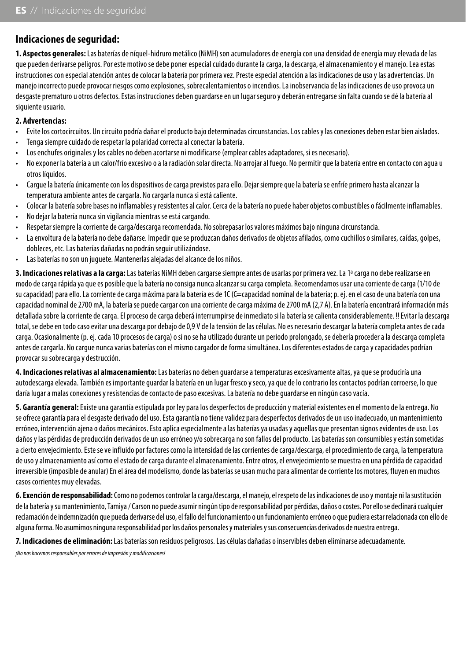## **Indicaciones de seguridad:**

**1. Aspectos generales:** Las baterías de níquel-hidruro metálico (NiMH) son acumuladores de energía con una densidad de energía muy elevada de las que pueden derivarse peligros. Por este motivo se debe poner especial cuidado durante la carga, la descarga, el almacenamiento y el manejo. Lea estas instrucciones con especial atención antes de colocar la batería por primera vez. Preste especial atención a las indicaciones de uso y las advertencias. Un manejo incorrecto puede provocar riesgos como explosiones, sobrecalentamientos o incendios. La inobservancia de las indicaciones de uso provoca un desgaste prematuro u otros defectos. Estas instrucciones deben guardarse en un lugar seguro y deberán entregarse sin falta cuando se dé la batería al siguiente usuario.

#### **2. Advertencias:**

- Evite los cortocircuitos. Un circuito podría dañar el producto bajo determinadas circunstancias. Los cables y las conexiones deben estar bien aislados.
- Tenga siempre cuidado de respetar la polaridad correcta al conectar la batería.
- Los enchufes originales y los cables no deben acortarse ni modificarse (emplear cables adaptadores, si es necesario).
- No exponer la batería a un calor/frío excesivo o a la radiación solar directa. No arrojar al fuego. No permitir que la batería entre en contacto con agua u otros líquidos.
- Cargue la batería únicamente con los dispositivos de carga previstos para ello. Dejar siempre que la batería se enfríe primero hasta alcanzar la temperatura ambiente antes de cargarla. No cargarla nunca si está caliente.
- Colocar la batería sobre bases no inflamables y resistentes al calor. Cerca de la batería no puede haber objetos combustibles o fácilmente inflamables.
- No dejar la batería nunca sin vigilancia mientras se está cargando.
- Respetar siempre la corriente de carga/descarga recomendada. No sobrepasar los valores máximos bajo ninguna circunstancia.
- La envoltura de la batería no debe dañarse. Impedir que se produzcan daños derivados de objetos afilados, como cuchillos o similares, caídas, golpes, dobleces, etc. Las baterías dañadas no podrán seguir utilizándose.
- Las baterías no son un juguete. Mantenerlas alejadas del alcance de los niños.

**3. Indicaciones relativas a la carga:** Las baterías NiMH deben cargarse siempre antes de usarlas por primera vez. La 1ª carga no debe realizarse en modo de carga rápida ya que es posible que la batería no consiga nunca alcanzar su carga completa. Recomendamos usar una corriente de carga (1/10 de su capacidad) para ello. La corriente de carga máxima para la batería es de 1C (C=capacidad nominal de la batería; p. ej. en el caso de una batería con una capacidad nominal de 2700 mA, la batería se puede cargar con una corriente de carga máxima de 2700 mA (2,7 A). En la batería encontrará información más detallada sobre la corriente de carga. El proceso de carga deberá interrumpirse de inmediato si la batería se calienta considerablemente. !! Evitar la descarga total, se debe en todo caso evitar una descarga por debajo de 0,9 V de la tensión de las células. No es necesario descargar la batería completa antes de cada carga. Ocasionalmente (p. ej. cada 10 procesos de carga) o si no se ha utilizado durante un periodo prolongado, se debería proceder a la descarga completa antes de cargarla. No cargue nunca varias baterías con el mismo cargador de forma simultánea. Los diferentes estados de carga y capacidades podrían provocar su sobrecarga y destrucción.

**4. Indicaciones relativas al almacenamiento:** Las baterías no deben guardarse a temperaturas excesivamente altas, ya que se produciría una autodescarga elevada. También es importante guardar la batería en un lugar fresco y seco, ya que de lo contrario los contactos podrían corroerse, lo que daría lugar a malas conexiones y resistencias de contacto de paso excesivas. La batería no debe guardarse en ningún caso vacía.

**5. Garantía general:** Existe una garantía estipulada por ley para los desperfectos de producción y material existentes en el momento de la entrega. No se ofrece garantía para el desgaste derivado del uso. Esta garantía no tiene validez para desperfectos derivados de un uso inadecuado, un mantenimiento erróneo, intervención ajena o daños mecánicos. Esto aplica especialmente a las baterías ya usadas y aquellas que presentan signos evidentes de uso. Los daños y las pérdidas de producción derivados de un uso erróneo y/o sobrecarga no son fallos del producto. Las baterías son consumibles y están sometidas a cierto envejecimiento. Este se ve influido por factores como la intensidad de las corrientes de carga/descarga, el procedimiento de carga, la temperatura de uso y almacenamiento así como el estado de carga durante el almacenamiento. Entre otros, el envejecimiento se muestra en una pérdida de capacidad irreversible (imposible de anular) En el área del modelismo, donde las baterías se usan mucho para alimentar de corriente los motores, fluyen en muchos casos corrientes muy elevadas.

**6. Exención de responsabilidad:** Como no podemos controlar la carga/descarga, el manejo, el respeto de las indicaciones de uso y montaje ni la sustitución de la batería y su mantenimiento, Tamiya / Carson no puede asumir ningún tipo de responsabilidad por pérdidas, daños o costes. Por ello se declinará cualquier reclamación de indemnización que pueda derivarse del uso, el fallo del funcionamiento o un funcionamiento erróneo o que pudiera estar relacionada con ello de alguna forma. No asumimos ninguna responsabilidad por los daños personales y materiales y sus consecuencias derivados de nuestra entrega.

**7. Indicaciones de eliminación:** Las baterías son residuos peligrosos. Las células dañadas o inservibles deben eliminarse adecuadamente.

*¡No nos hacemos responsables por errores de impresión y modificaciones!*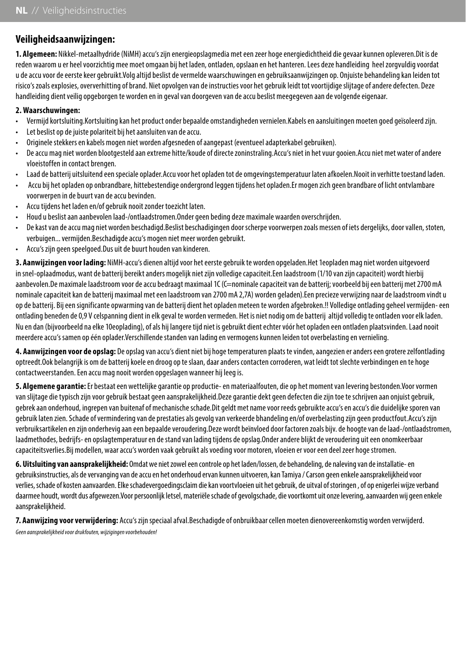## **Veiligheidsaanwijzingen:**

**1. Algemeen:** Nikkel-metaalhydride (NiMH) accu's zijn energieopslagmedia met een zeer hoge energiedichtheid die gevaar kunnen opleveren.Dit is de reden waarom u er heel voorzichtig mee moet omgaan bij het laden, ontladen, opslaan en het hanteren. Lees deze handleiding heel zorgvuldig voordat u de accu voor de eerste keer gebruikt.Volg altijd beslist de vermelde waarschuwingen en gebruiksaanwijzingen op. Onjuiste behandeling kan leiden tot risico's zoals explosies, oververhitting of brand. Niet opvolgen van de instructies voor het gebruik leidt tot voortijdige slijtage of andere defecten. Deze handleiding dient veilig opgeborgen te worden en in geval van doorgeven van de accu beslist meegegeven aan de volgende eigenaar.

#### **2. Waarschuwingen:**

- Vermijd kortsluiting.Kortsluiting kan het product onder bepaalde omstandigheden vernielen.Kabels en aansluitingen moeten goed geïsoleerd zijn.
- Let beslist op de juiste polariteit bij het aansluiten van de accu.
- Originele stekkers en kabels mogen niet worden afgesneden of aangepast (eventueel adapterkabel gebruiken).
- De accu mag niet worden blootgesteld aan extreme hitte/koude of directe zoninstraling.Accu's niet in het vuur gooien.Accu niet met water of andere vloeistoffen in contact brengen.
- Laad de batterij uitsluitend een speciale oplader.Accu voor het opladen tot de omgevingstemperatuur laten afkoelen.Nooit in verhitte toestand laden.
- Accu bij het opladen op onbrandbare, hittebestendige ondergrond leggen tijdens het opladen.Er mogen zich geen brandbare of licht ontvlambare voorwerpen in de buurt van de accu bevinden.
- Accu tijdens het laden en/of gebruik nooit zonder toezicht laten.
- Houd u beslist aan aanbevolen laad-/ontlaadstromen.Onder geen beding deze maximale waarden overschrijden.
- De kast van de accu mag niet worden beschadigd.Beslist beschadigingen door scherpe voorwerpen zoals messen of iets dergelijks, door vallen, stoten, verbuigen... vermijden.Beschadigde accu's mogen niet meer worden gebruikt.
- Accu's zijn geen speelgoed.Dus uit de buurt houden van kinderen.

**3. Aanwijzingen voor lading:** NiMH-accu's dienen altijd voor het eerste gebruik te worden opgeladen.Het 1eopladen mag niet worden uitgevoerd in snel-oplaadmodus, want de batterij bereikt anders mogelijk niet zijn volledige capaciteit.Een laadstroom (1/10 van zijn capaciteit) wordt hierbij aanbevolen.De maximale laadstroom voor de accu bedraagt maximaal 1C (C=nominale capaciteit van de batterij; voorbeeld bij een batterij met 2700 mA nominale capaciteit kan de batterij maximaal met een laadstroom van 2700 mA 2,7A) worden geladen).Een precieze verwijzing naar de laadstroom vindt u op de batterij. Bij een significante opwarming van de batterij dient het opladen meteen te worden afgebroken.!! Volledige ontlading geheel vermijden- een ontlading beneden de 0,9 V celspanning dient in elk geval te worden vermeden. Het is niet nodig om de batterij altijd volledig te ontladen voor elk laden. Nu en dan (bijvoorbeeld na elke 10eoplading), of als hij langere tijd niet is gebruikt dient echter vóór het opladen een ontladen plaatsvinden. Laad nooit meerdere accu's samen op één oplader.Verschillende standen van lading en vermogens kunnen leiden tot overbelasting en vernieling.

**4. Aanwijzingen voor de opslag:** De opslag van accu's dient niet bij hoge temperaturen plaats te vinden, aangezien er anders een grotere zelfontlading optreedt.Ook belangrijk is om de batterij koele en droog op te slaan, daar anders contacten corroderen, wat leidt tot slechte verbindingen en te hoge contactweerstanden. Een accu mag nooit worden opgeslagen wanneer hij leeg is.

**5. Algemene garantie:** Er bestaat een wettelijke garantie op productie- en materiaalfouten, die op het moment van levering bestonden.Voor vormen van slijtage die typisch zijn voor gebruik bestaat geen aansprakelijkheid.Deze garantie dekt geen defecten die zijn toe te schrijven aan onjuist gebruik, gebrek aan onderhoud, ingrepen van buitenaf of mechanische schade.Dit geldt met name voor reeds gebruikte accu's en accu's die duidelijke sporen van gebruik laten zien. Schade of vermindering van de prestaties als gevolg van verkeerde bhandeling en/of overbelasting zijn geen productfout.Accu's zijn verbruiksartikelen en zijn onderhevig aan een bepaalde veroudering.Deze wordt beïnvloed door factoren zoals bijv. de hoogte van de laad-/ontlaadstromen, laadmethodes, bedrijfs- en opslagtemperatuur en de stand van lading tijdens de opslag.Onder andere blijkt de veroudering uit een onomkeerbaar capaciteitsverlies.Bij modellen, waar accu's worden vaak gebruikt als voeding voor motoren, vloeien er voor een deel zeer hoge stromen.

**6. Uitsluiting van aansprakelijkheid:** Omdat we niet zowel een controle op het laden/lossen, de behandeling, de naleving van de installatie- en gebruiksinstructies, als de vervanging van de accu en het onderhoud ervan kunnen uitvoeren, kan Tamiya / Carson geen enkele aansprakelijkheid voor verlies, schade of kosten aanvaarden. Elke schadevergoedingsclaim die kan voortvloeien uit het gebruik, de uitval of storingen , of op enigerlei wijze verband daarmee houdt, wordt dus afgewezen.Voor persoonlijk letsel, materiële schade of gevolgschade, die voortkomt uit onze levering, aanvaarden wij geen enkele aansprakelijkheid.

**7. Aanwijzing voor verwijdering:** Accu's zijn speciaal afval.Beschadigde of onbruikbaar cellen moeten dienovereenkomstig worden verwijderd. *Geen aansprakelijkheid voor drukfouten, wijzigingen voorbehouden!*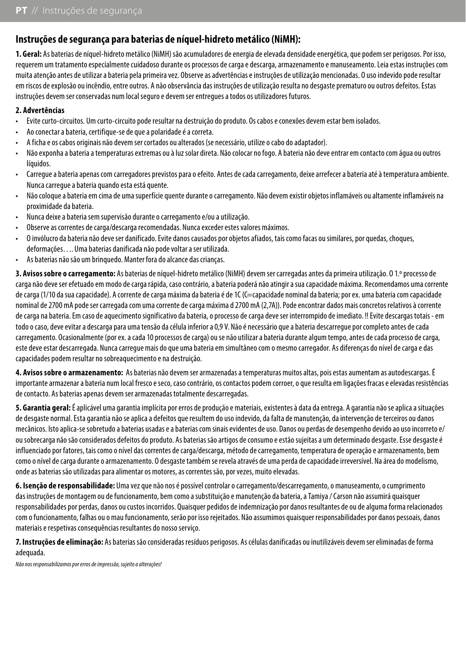## **Instruções de segurança para baterias de níquel-hidreto metálico (NiMH):**

**1. Geral:** As baterias de níquel-hidreto metálico (NiMH) são acumuladores de energia de elevada densidade energética, que podem ser perigosos. Por isso, requerem um tratamento especialmente cuidadoso durante os processos de carga e descarga, armazenamento e manuseamento. Leia estas instruções com muita atenção antes de utilizar a bateria pela primeira vez. Observe as advertências e instruções de utilização mencionadas. O uso indevido pode resultar em riscos de explosão ou incêndio, entre outros. A não observância das instruções de utilização resulta no desgaste prematuro ou outros defeitos. Estas instruções devem ser conservadas num local seguro e devem ser entregues a todos os utilizadores futuros.

#### **2. Advertências**

- Evite curto-circuitos. Um curto-circuito pode resultar na destruição do produto. Os cabos e conexões devem estar bem isolados.
- Ao conectar a bateria, certifique-se de que a polaridade é a correta.
- A ficha e os cabos originais não devem ser cortados ou alterados (se necessário, utilize o cabo do adaptador).
- Não exponha a bateria a temperaturas extremas ou à luz solar direta. Não colocar no fogo. A bateria não deve entrar em contacto com água ou outros líquidos.
- Carregue a bateria apenas com carregadores previstos para o efeito. Antes de cada carregamento, deixe arrefecer a bateria até à temperatura ambiente. Nunca carregue a bateria quando esta está quente.
- Não coloque a bateria em cima de uma superfície quente durante o carregamento. Não devem existir objetos inflamáveis ou altamente inflamáveis na proximidade da bateria.
- Nunca deixe a bateria sem supervisão durante o carregamento e/ou a utilização.
- Observe as correntes de carga/descarga recomendadas. Nunca exceder estes valores máximos.
- O invólucro da bateria não deve ser danificado. Evite danos causados por objetos afiados, tais como facas ou similares, por quedas, choques, deformações…. Uma baterias danificada não pode voltar a ser utilizada.
- As baterias não são um brinquedo. Manter fora do alcance das crianças.

**3. Avisos sobre o carregamento:** As baterias de níquel-hidreto metálico (NiMH) devem ser carregadas antes da primeira utilização. O 1.º processo de carga não deve ser efetuado em modo de carga rápida, caso contrário, a bateria poderá não atingir a sua capacidade máxima. Recomendamos uma corrente de carga (1/10 da sua capacidade). A corrente de carga máxima da bateria é de 1C (C=capacidade nominal da bateria; por ex. uma bateria com capacidade nominal de 2700 mA pode ser carregada com uma corrente de carga máxima d 2700 mA (2,7A)). Pode encontrar dados mais concretos relativos à corrente de carga na bateria. Em caso de aquecimento significativo da bateria, o processo de carga deve ser interrompido de imediato. !! Evite descargas totais - em todo o caso, deve evitar a descarga para uma tensão da célula inferior a 0,9 V. Não é necessário que a bateria descarregue por completo antes de cada carregamento. Ocasionalmente (por ex. a cada 10 processos de carga) ou se não utilizar a bateria durante algum tempo, antes de cada processo de carga, este deve estar descarregada. Nunca carregue mais do que uma bateria em simultâneo com o mesmo carregador. As diferenças do nível de carga e das capacidades podem resultar no sobreaquecimento e na destruição.

**4. Avisos sobre o armazenamento:** As baterias não devem ser armazenadas a temperaturas muitos altas, pois estas aumentam as autodescargas. É importante armazenar a bateria num local fresco e seco, caso contrário, os contactos podem corroer, o que resulta em ligações fracas e elevadas resistências de contacto. As baterias apenas devem ser armazenadas totalmente descarregadas.

**5. Garantia geral:** É aplicável uma garantia implícita por erros de produção e materiais, existentes à data da entrega. A garantia não se aplica a situações de desgaste normal. Esta garantia não se aplica a defeitos que resultem do uso indevido, da falta de manutenção, da intervenção de terceiros ou danos mecânicos. Isto aplica-se sobretudo a baterias usadas e a baterias com sinais evidentes de uso. Danos ou perdas de desempenho devido ao uso incorreto e/ ou sobrecarga não são considerados defeitos do produto. As baterias são artigos de consumo e estão sujeitas a um determinado desgaste. Esse desgaste é influenciado por fatores, tais como o nível das correntes de carga/descarga, método de carregamento, temperatura de operação e armazenamento, bem como o nível de carga durante o armazenamento. O desgaste também se revela através de uma perda de capacidade irreversível. Na área do modelismo, onde as baterias são utilizadas para alimentar os motores, as correntes são, por vezes, muito elevadas.

**6. Isenção de responsabilidade:** Uma vez que não nos é possível controlar o carregamento/descarregamento, o manuseamento, o cumprimento das instruções de montagem ou de funcionamento, bem como a substituição e manutenção da bateria, a Tamiya / Carson não assumirá quaisquer responsabilidades por perdas, danos ou custos incorridos. Quaisquer pedidos de indemnização por danos resultantes de ou de alguma forma relacionados com o funcionamento, falhas ou o mau funcionamento, serão por isso rejeitados. Não assumimos quaisquer responsabilidades por danos pessoais, danos materiais e respetivas consequências resultantes do nosso serviço.

**7. Instruções de eliminação:** As baterias são consideradas resíduos perigosos. As células danificadas ou inutilizáveis devem ser eliminadas de forma adequada.

*Não nos responsabilizamos por erros de impressão, sujeito a alterações!*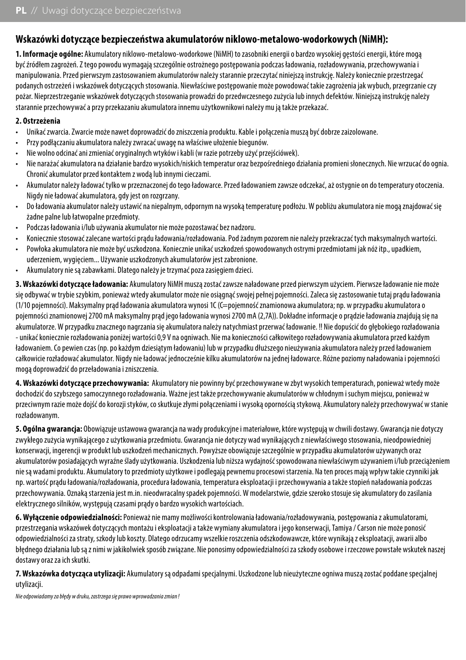## **Wskazówki dotyczące bezpieczeństwa akumulatorów niklowo-metalowo-wodorkowych (NiMH):**

**1. Informacje ogólne:** Akumulatory niklowo-metalowo-wodorkowe (NiMH) to zasobniki energii o bardzo wysokiej gęstości energii, które mogą być źródłem zagrożeń. Z tego powodu wymagają szczególnie ostrożnego postępowania podczas ładowania, rozładowywania, przechowywania i manipulowania. Przed pierwszym zastosowaniem akumulatorów należy starannie przeczytać niniejszą instrukcję. Należy koniecznie przestrzegać podanych ostrzeżeń i wskazówek dotyczących stosowania. Niewłaściwe postępowanie może powodować takie zagrożenia jak wybuch, przegrzanie czy pożar. Nieprzestrzeganie wskazówek dotyczących stosowania prowadzi do przedwczesnego zużycia lub innych defektów. Niniejszą instrukcję należy starannie przechowywać a przy przekazaniu akumulatora innemu użytkownikowi należy mu ją także przekazać.

#### **2. Ostrzeżenia**

- Unikać zwarcia. Zwarcie może nawet doprowadzić do zniszczenia produktu. Kable i połączenia muszą być dobrze zaizolowane.
- Przy podłączaniu akumulatora należy zwracać uwagę na właściwe ułożenie biegunów.
- Nie wolno odcinać ani zmieniać oryginalnych wtyków i kabli (w razie potrzeby użyć przejściówek).
- Nie narażać akumulatora na działanie bardzo wysokich/niskich temperatur oraz bezpośredniego działania promieni słonecznych. Nie wrzucać do ognia. Chronić akumulator przed kontaktem z wodą lub innymi cieczami.
- Akumulator należy ładować tylko w przeznaczonej do tego ładowarce. Przed ładowaniem zawsze odczekać, aż ostygnie on do temperatury otoczenia. Nigdy nie ładować akumulatora, gdy jest on rozgrzany.
- Do ładowania akumulator należy ustawić na niepalnym, odpornym na wysoką temperaturę podłożu. W pobliżu akumulatora nie mogą znajdować się żadne palne lub łatwopalne przedmioty.
- Podczas ładowania i/lub używania akumulator nie może pozostawać bez nadzoru.
- Koniecznie stosować zalecane wartości prądu ładowania/rozładowania. Pod żadnym pozorem nie należy przekraczać tych maksymalnych wartości.
- Powłoka akumulatora nie może być uszkodzona. Koniecznie unikać uszkodzeń spowodowanych ostrymi przedmiotami jak nóż itp., upadkiem,
- uderzeniem, wygięciem... Używanie uszkodzonych akumulatorów jest zabronione. • Akumulatory nie są zabawkami. Dlatego należy je trzymać poza zasięgiem dzieci.

**3. Wskazówki dotyczące ładowania:** Akumulatory NiMH muszą zostać zawsze naładowane przed pierwszym użyciem. Pierwsze ładowanie nie może się odbywać w trybie szybkim, ponieważ wtedy akumulator może nie osiągnąć swojej pełnej pojemności. Zaleca się zastosowanie tutaj prądu ładowania (1/10 pojemności). Maksymalny prąd ładowania akumulatora wynosi 1C (C=pojemność znamionowa akumulatora; np. w przypadku akumulatora o pojemności znamionowej 2700 mA maksymalny prąd jego ładowania wynosi 2700 mA (2,7A)). Dokładne informacje o prądzie ładowania znajdują się na akumulatorze. W przypadku znacznego nagrzania się akumulatora należy natychmiast przerwać ładowanie. !! Nie dopuścić do głębokiego rozładowania - unikać koniecznie rozładowania poniżej wartości 0,9 V na ogniwach. Nie ma konieczności całkowitego rozładowywania akumulatora przed każdym ładowaniem. Co pewien czas (np. po każdym dziesiątym ładowaniu) lub w przypadku dłuższego nieużywania akumulatora należy przed ładowaniem całkowicie rozładować akumulator. Nigdy nie ładować jednocześnie kilku akumulatorów na jednej ładowarce. Różne poziomy naładowania i pojemności mogą doprowadzić do przeładowania i zniszczenia.

**4. Wskazówki dotyczące przechowywania:** Akumulatory nie powinny być przechowywane w zbyt wysokich temperaturach, ponieważ wtedy może dochodzić do szybszego samoczynnego rozładowania. Ważne jest także przechowywanie akumulatorów w chłodnym i suchym miejscu, ponieważ w przeciwnym razie może dojść do korozji styków, co skutkuje złymi połączeniami i wysoką opornością stykową. Akumulatory należy przechowywać w stanie rozładowanym.

**5. Ogólna gwarancja:** Obowiązuje ustawowa gwarancja na wady produkcyjne i materiałowe, które występują w chwili dostawy. Gwarancja nie dotyczy zwykłego zużycia wynikającego z użytkowania przedmiotu. Gwarancja nie dotyczy wad wynikających z niewłaściwego stosowania, nieodpowiedniej konserwacji, ingerencji w produkt lub uszkodzeń mechanicznych. Powyższe obowiązuje szczególnie w przypadku akumulatorów używanych oraz akumulatorów posiadających wyraźne ślady użytkowania. Uszkodzenia lub niższa wydajność spowodowana niewłaściwym używaniem i/lub przeciążeniem nie są wadami produktu. Akumulatory to przedmioty użytkowe i podlegają pewnemu procesowi starzenia. Na ten proces mają wpływ takie czynniki jak np. wartość prądu ładowania/rozładowania, procedura ładowania, temperatura eksploatacji i przechowywania a także stopień naładowania podczas przechowywania. Oznaką starzenia jest m.in. nieodwracalny spadek pojemności. W modelarstwie, gdzie szeroko stosuje się akumulatory do zasilania elektrycznego silników, występują czasami prądy o bardzo wysokich wartościach.

**6. Wyłączenie odpowiedzialności:** Ponieważ nie mamy możliwości kontrolowania ładowania/rozładowywania, postępowania z akumulatorami, przestrzegania wskazówek dotyczących montażu i eksploatacji a także wymiany akumulatora i jego konserwacji. Tamiya / Carson nie może ponosić odpowiedzialności za straty, szkody lub koszty. Dlatego odrzucamy wszelkie roszczenia odszkodowawcze, które wynikają z eksploatacji, awarii albo błędnego działania lub są z nimi w jakikolwiek sposób związane. Nie ponosimy odpowiedzialności za szkody osobowe i rzeczowe powstałe wskutek naszej dostawy oraz za ich skutki.

**7. Wskazówka dotycząca utylizacji:** Akumulatory są odpadami specjalnymi. Uszkodzone lub nieużyteczne ogniwa muszą zostać poddane specjalnej utvlizacii.

*Nie odpowiadamy za błędy w druku, zastrzega się prawo wprowadzania zmian !*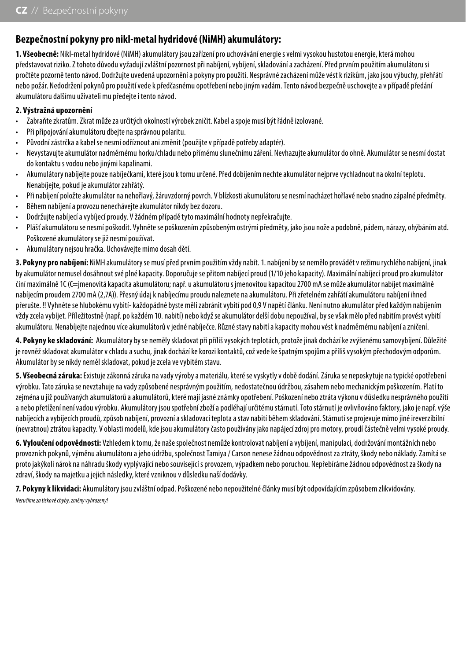## **Bezpečnostní pokyny pro nikl-metal hydridové (NiMH) akumulátory:**

**1. Všeobecně:** Nikl-metal hydridové (NiMH) akumulátory jsou zařízení pro uchovávání energie s velmi vysokou hustotou energie, která mohou představovat riziko. Z tohoto důvodu vyžadují zvláštní pozornost při nabíjení, vybíjení, skladování a zacházení. Před prvním použitím akumulátoru si pročtěte pozorně tento návod. Dodržujte uvedená upozornění a pokyny pro použití. Nesprávné zacházení může vést k rizikům, jako jsou výbuchy, přehřátí nebo požár. Nedodržení pokynů pro použití vede k předčasnému opotřebení nebo jiným vadám. Tento návod bezpečně uschovejte a v případě předání akumulátoru dalšímu uživateli mu předejte i tento návod.

#### **2. Výstražná upozornění**

- Zabraňte zkratům. Zkrat může za určitých okolností výrobek zničit. Kabel a spoje musí být řádně izolované.
- Při připojování akumulátoru dbejte na správnou polaritu.
- Původní zástrčka a kabel se nesmí odříznout ani změnit (použijte v případě potřeby adaptér).
- Nevystavujte akumulátor nadměrnému horku/chladu nebo přímému slunečnímu záření. Nevhazujte akumulátor do ohně. Akumulátor se nesmí dostat do kontaktu s vodou nebo jinými kapalinami.
- Akumulátory nabíjejte pouze nabíječkami, které jsou k tomu určené. Před dobíjením nechte akumulátor nejprve vychladnout na okolní teplotu. Nenabíjejte, pokud je akumulátor zahřátý.
- Při nabíjení položte akumulátor na nehořlavý, žáruvzdorný povrch. V blízkosti akumulátoru se nesmí nacházet hořlavé nebo snadno zápalné předměty.
- Během nabíjení a provozu nenechávejte akumulátor nikdy bez dozoru.
- Dodržujte nabíjecí a vybíjecí proudy. V žádném případě tyto maximální hodnoty nepřekračujte.
- Plášť akumulátoru se nesmí poškodit. Vyhněte se poškozením způsobeným ostrými předměty, jako jsou nože a podobně, pádem, nárazy, ohýbáním atd. Poškozené akumulátory se již nesmí používat.
- Akumulátory nejsou hračka. Uchovávejte mimo dosah dětí.

**3. Pokyny pro nabíjení:** NiMH akumulátory se musí před prvním použitím vždy nabít. 1. nabíjení by se nemělo provádět v režimu rychlého nabíjení, jinak by akumulátor nemusel dosáhnout své plné kapacity. Doporučuje se přitom nabíjecí proud (1/10 jeho kapacity). Maximální nabíjecí proud pro akumulátor činí maximálně 1C (C=jmenovitá kapacita akumulátoru; např. u akumulátoru s jmenovitou kapacitou 2700 mA se může akumulátor nabíjet maximálně nabíjecím proudem 2700 mA (2,7A)). Přesný údaj k nabíjecímu proudu naleznete na akumulátoru. Při zřetelném zahřátí akumulátoru nabíjení ihned přerušte. !! Vyhněte se hlubokému vybití- každopádně byste měli zabránit vybití pod 0,9 V napětí článku. Není nutno akumulátor před každým nabíjením vždy zcela vybíjet. Příležitostně (např. po každém 10. nabití) nebo když se akumulátor delší dobu nepoužíval, by se však mělo před nabitím provést vybití akumulátoru. Nenabíjejte najednou více akumulátorů v jedné nabíječce. Různé stavy nabití a kapacity mohou vést k nadměrnému nabíjení a zničení.

**4. Pokyny ke skladování:** Akumulátory by se neměly skladovat při příliš vysokých teplotách, protože jinak dochází ke zvýšenému samovybíjení. Důležité je rovněž skladovat akumulátor v chladu a suchu, jinak dochází ke korozi kontaktů, což vede ke špatným spojům a příliš vysokým přechodovým odporům. Akumulátor by se nikdy neměl skladovat, pokud je zcela ve vybitém stavu.

**5. Všeobecná záruka:** Existuje zákonná záruka na vady výroby a materiálu, které se vyskytly v době dodání. Záruka se neposkytuje na typické opotřebení výrobku. Tato záruka se nevztahuje na vady způsobené nesprávným použitím, nedostatečnou údržbou, zásahem nebo mechanickým poškozením. Platí to zejména u již používaných akumulátorů a akumulátorů, které mají jasné známky opotřebení. Poškození nebo ztráta výkonu v důsledku nesprávného použití a nebo přetížení není vadou výrobku. Akumulátory jsou spotřební zboží a podléhají určitému stárnutí. Toto stárnutí je ovlivňováno faktory, jako je např. výše nabíjecích a vybíjecích proudů, způsob nabíjení, provozní a skladovací teplota a stav nabití během skladování. Stárnutí se projevuje mimo jiné ireverzibilní (nevratnou) ztrátou kapacity. V oblasti modelů, kde jsou akumulátory často používány jako napájecí zdroj pro motory, proudí částečně velmi vysoké proudy.

**6. Vyloučení odpovědnosti:** Vzhledem k tomu, že naše společnost nemůže kontrolovat nabíjení a vybíjení, manipulaci, dodržování montážních nebo provozních pokynů, výměnu akumulátoru a jeho údržbu, společnost Tamiya / Carson nenese žádnou odpovědnost za ztráty, škody nebo náklady. Zamítá se proto jakýkoli nárok na náhradu škody vyplývající nebo související s provozem, výpadkem nebo poruchou. Nepřebíráme žádnou odpovědnost za škody na zdraví, škody na majetku a jejich následky, které vzniknou v důsledku naší dodávky.

**7. Pokyny k likvidaci:** Akumulátory jsou zvláštní odpad. Poškozené nebo nepoužitelné články musí být odpovídajícím způsobem zlikvidovány.

*Neručíme za tiskové chyby, změny vyhrazeny!*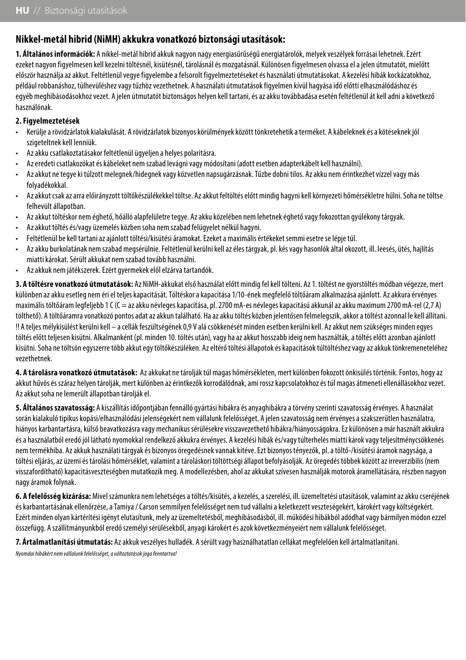## **Nikkel-metál hibrid (NiMH) akkukra vonatkozó biztonsági utasítások:**

**1. Általános információk:** A nikkel-metál hibrid akkuk nagyon nagy energiasűrűségű energiatárolók, melyek veszélyek forrásai lehetnek. Ezért ezeket nagyon figyelmesen kell kezelni töltésnél, kisütésnél, tárolásnál és mozgatásnál. Különösen figyelmesen olvassa el a jelen útmutatót, mielőtt először használja az akkut. Feltétlenül vegye figyelembe a felsorolt figyelmeztetéseket és használati útmutatásokat. A kezelési hibák kockázatokhoz, például robbanáshoz, túlhevüléshez vagy tűzhöz vezethetnek. A használati útmutatások figyelmen kívül hagyása idő előtti elhasználódáshoz és egyéb meghibásodásokhoz vezet. A jelen útmutatót biztonságos helyen kell tartani, és az akku továbbadása esetén feltétlenül át kell adni a következő használónak.

#### **2. Figyelmeztetések**

- Kerülje a rövidzárlatok kialakulását. A rövidzárlatok bizonyos körülmények között tönkretehetik a terméket. A kábeleknek és a kötéseknek jól szigeteltnek kell lenniük.
- Az akku csatlakoztatásakor feltétlenül ügyeljen a helyes polaritásra.
- Az eredeti csatlakozókat és kábeleket nem szabad levágni vagy módosítani (adott esetben adapterkábelt kell használni).
- Az akkut ne tegye ki túlzott melegnek/hidegnek vagy közvetlen napsugárzásnak. Tűzbe dobni tilos. Az akku nem érintkezhet vízzel vagy más folyadékokkal.
- Az akkut csak az arra előirányzott töltőkészülékekkel töltse. Az akkut feltöltés előtt mindig hagyni kell környezeti hőmérsékletre hűlni. Soha ne töltse felhevült állapotban.
- Az akkut töltéskor nem éghető, hőálló alapfelületre tegye. Az akku közelében nem lehetnek éghető vagy fokozottan gyúlékony tárgyak.
- Az akkut töltés és/vagy üzemelés közben soha nem szabad felügyelet nélkül hagyni.
- Feltétlenül be kell tartani az ajánlott töltési/kisütési áramokat. Ezeket a maximális értékeket semmi esetre se lépje túl.
- Az akku burkolatának nem szabad megsérülnie. Feltétlenül kerülni kell az éles tárgyak, pl. kés vagy hasonlók által okozott, ill. leesés, ütés, hajlítás miatti károkat. Sérült akkukat nem szabad tovább használni.
- Az akkuk nem játékszerek. Ezért gyermekek elől elzárva tartandók.

**3. A töltésre vonatkozó útmutatások:** Az NiMH-akkukat első használat előtt mindig fel kell tölteni. Az 1. töltést ne gyorstöltés módban végezze, mert különben az akku esetleg nem éri el teljes kapacitását. Töltéskor a kapacitása 1/10-ének megfelelő töltőáram alkalmazása ajánlott. Az akkura érvényes maximális töltőáram legfeljebb 1 C (C = az akku névleges kapacitása, pl. 2700 mA-es névleges kapacitású akkunál az akku maximum 2700 mA-rel (2,7 A) tölthető). A töltőáramra vonatkozó pontos adat az akkun található. Ha az akku töltés közben jelentősen felmelegszik, akkor a töltést azonnal le kell állítani. !! A teljes mélykisülést kerülni kell – a cellák feszültségének 0,9 V alá csökkenését minden esetben kerülni kell. Az akkut nem szükséges minden egyes töltés előtt teljesen kisütni. Alkalmanként (pl. minden 10. töltés után), vagy ha az akkut hosszabb ideig nem használták, a töltés előtt azonban ajánlott kisütni. Soha ne töltsön egyszerre több akkut egy töltőkészüléken. Az eltérő töltési állapotok és kapacitások túltöltéshez vagy az akkuk tönkremeneteléhez vezethetnek.

**4. A tárolásra vonatkozó útmutatások:** Az akkukat ne tárolják túl magas hőmérsékleten, mert különben fokozott önkisülés történik. Fontos, hogy az akkut hűvös és száraz helyen tárolják, mert különben az érintkezők korrodálódnak, ami rossz kapcsolatokhoz és túl magas átmeneti ellenállásokhoz vezet. Az akkut soha ne lemerült állapotban tárolják el.

**5. Általános szavatosság:** A kiszállítás időpontjában fennálló gyártási hibákra és anyaghibákra a törvény szerinti szavatosság érvényes. A használat során kialakuló tipikus kopási/elhasználódási jelenségekért nem vállalunk felelősséget. A jelen szavatosság nem érvényes a szakszerűtlen használatra, hiányos karbantartásra, külső beavatkozásra vagy mechanikus sérülésekre visszavezethető hibákra/hiányosságokra. Ez különösen a már használt akkukra és a használatból eredő jól látható nyomokkal rendelkező akkukra érvényes. A kezelési hibák és/vagy túlterhelés miatti károk vagy teljesítménycsökkenés nem termékhiba. Az akkuk használati tárgyak és bizonyos öregedésnek vannak kitéve. Ezt bizonyos tényezők, pl. a töltő-/kisütési áramok nagysága, a töltési eljárás, az üzemi és tárolási hőmérséklet, valamint a tároláskori töltöttségi állapot befolyásolják. Az öregedés többek között az irreverzibilis (nem visszafordítható) kapacitásveszteségben mutatkozik meg. A modellezésben, ahol az akkukat szívesen használják motorok áramellátására, részben nagyon nagy áramok folynak.

**6. A felelősség kizárása:** Mivel számunkra nem lehetséges a töltés/kisütés, a kezelés, a szerelési, ill. üzemeltetési utasítások, valamint az akku cseréjének és karbantartásának ellenőrzése, a Tamiya / Carson semmilyen felelősséget nem tud vállalni a keletkezett veszteségekért, károkért vagy költségekért. Ezért minden olyan kártérítési igényt elutasítunk, mely az üzemeltetésből, meghibásodásból, ill. működési hibákból adódhat vagy bármilyen módon ezzel összefügg. A szállítmányunkból eredő személyi sérülésekből, anyagi károkért és azok következményeiért nem vállalunk felelősséget.

**7. Ártalmatlanítási útmutatás:** Az akkuk veszélyes hulladék. A sérült vagy használhatatlan cellákat megfelelően kell ártalmatlanítani.

*Nyomdai hibákért nem vállalunk felelősséget, a változtatások joga fenntartva!*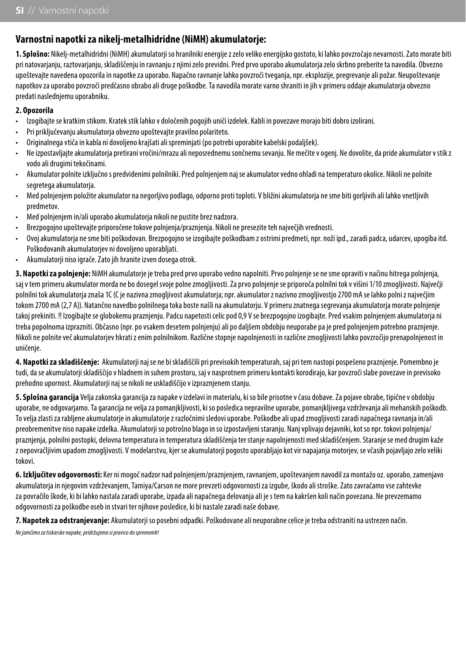## **Varnostni napotki za nikelj-metalhidridne (NiMH) akumulatorje:**

**1. Splošno:** Nikelj-metalhidridni (NiMH) akumulatorji so hranilniki energije z zelo veliko energijsko gostoto, ki lahko povzročajo nevarnosti. Zato morate biti pri natovarjanju, raztovarjanju, skladiščenju in ravnanju z njimi zelo previdni. Pred prvo uporabo akumulatorja zelo skrbno preberite ta navodila. Obvezno upoštevajte navedena opozorila in napotke za uporabo. Napačno ravnanje lahko povzroči tveganja, npr. eksplozije, pregrevanje ali požar. Neupoštevanje napotkov za uporabo povzroči predčasno obrabo ali druge poškodbe. Ta navodila morate varno shraniti in jih v primeru oddaje akumulatorja obvezno predati naslednjemu uporabniku.

#### **2. Opozorila**

- Izogibajte se kratkim stikom. Kratek stik lahko v določenih pogojih uniči izdelek. Kabli in povezave morajo biti dobro izolirani.
- Pri priključevanju akumulatorja obvezno upoštevajte pravilno polariteto.
- Originalnega vtiča in kabla ni dovoljeno krajšati ali spreminjati (po potrebi uporabite kabelski podaljšek).
- Ne izpostavljajte akumulatorja pretirani vročini/mrazu ali neposrednemu sončnemu sevanju. Ne mečite v ogenj. Ne dovolite, da pride akumulator v stik z vodo ali drugimi tekočinami.
- Akumulator polnite izključno s predvidenimi polnilniki. Pred polnjenjem naj se akumulator vedno ohladi na temperaturo okolice. Nikoli ne polnite segretega akumulatorja.
- Med polnjenjem položite akumulator na negorljivo podlago, odporno proti toploti. V bližini akumulatorja ne sme biti gorljivih ali lahko vnetljivih predmetov.
- Med polnjenjem in/ali uporabo akumulatorja nikoli ne pustite brez nadzora.
- Brezpogojno upoštevajte priporočene tokove polnjenja/praznjenja. Nikoli ne presezite teh največjih vrednosti.
- Ovoj akumulatorja ne sme biti poškodovan. Brezpogojno se izogibajte poškodbam z ostrimi predmeti, npr. noži ipd., zaradi padca, udarcev, upogiba itd. Poškodovanih akumulatorjev ni dovoljeno uporabljati.
- Akumulatorii niso igrače. Zato jih hranite izven dosega otrok.

**3. Napotki za polnjenje:** NiMH akumulatorje je treba pred prvo uporabo vedno napolniti. Prvo polnjenje se ne sme opraviti v načinu hitrega polnjenja, saj v tem primeru akumulator morda ne bo dosegel svoje polne zmogljivosti. Za prvo polnjenje se priporoča polnilni tok v višini 1/10 zmogljivosti. Največji polnilni tok akumulatoria znaša 1C (C je nazivna zmoglijvost akumulatoria; npr. akumulator z nazivno zmoglijvostio 2700 mA se lahko polni z največjim tokom 2700 mA (2,7 A)). Natančno navedbo polnilnega toka boste našli na akumulatorju. V primeru znatnega segrevanja akumulatorja morate polnjenje takoj prekiniti. !! Izogibajte se globokemu praznjenju. Padcu napetosti celic pod 0,9 V se brezpogojno izogibajte. Pred vsakim polnjenjem akumulatorja ni treba popolnoma izprazniti. Občasno (npr. po vsakem desetem polnjenju) ali po daljšem obdobju neuporabe pa je pred polnjenjem potrebno praznjenje. Nikoli ne polnite več akumulatorjev hkrati z enim polnilnikom. Različne stopnje napolnjenosti in različne zmogljivosti lahko povzročijo prenapolnjenost in uničenie.

**4. Napotki za skladiščenje:** Akumulatorji naj se ne bi skladiščili pri previsokih temperaturah, saj pri tem nastopi pospešeno praznjenje. Pomembno je tudi, da se akumulatorji skladiščijo v hladnem in suhem prostoru, saj v nasprotnem primeru kontakti korodirajo, kar povzroči slabe povezave in previsoko prehodno upornost. Akumulatorji naj se nikoli ne uskladiščijo v izpraznjenem stanju.

**5. Splošna garancija** Velja zakonska garancija za napake v izdelavi in materialu, ki so bile prisotne v času dobave. Za pojave obrabe, tipične v obdobju uporabe, ne odgovarjamo. Ta garancija ne velja za pomanjkljivosti, ki so posledica nepravilne uporabe, pomanjkljivega vzdrževanja ali mehanskih poškodb. To velja zlasti za rabljene akumulatorje in akumulatorje z razločnimi sledovi uporabe. Poškodbe ali upad zmogljivosti zaradi napačnega ravnanja in/ali preobremenitve niso napake izdelka. Akumulatorji so potrošno blago in so izpostavljeni staranju. Nanj vplivajo dejavniki, kot so npr. tokovi polnjenja/ praznjenja, polnilni postopki, delovna temperatura in temperatura skladiščenja ter stanje napolnjenosti med skladiščenjem. Staranje se med drugim kaže z nepovračljivim upadom zmogljivosti. V modelarstvu, kjer se akumulatorji pogosto uporabljajo kot vir napajanja motorjev, se včasih pojavljajo zelo veliki tokovi.

**6. Izključitev odgovornosti:** Ker ni mogoč nadzor nad polnjenjem/praznjenjem, ravnanjem, upoštevanjem navodil za montažo oz. uporabo, zamenjavo akumulatoria in njegovim vzdrževanjem, Tamiya/Carson ne more prevzeti odgovornosti za izgube, škodo ali stroške. Zato zavračamo vse zahtevke za povračilo škode, ki bi lahko nastala zaradi uporabe, izpada ali napačnega delovanja ali je s tem na kakršen koli način povezana. Ne prevzemamo odgovornosti za poškodbe oseb in stvari ter njihove posledice, ki bi nastale zaradi naše dobave.

**7. Napotek za odstranjevanje:** Akumulatorji so posebni odpadki. Poškodovane ali neuporabne celice je treba odstraniti na ustrezen način. *Ne jamčimo za tiskarske napake, pridržujemo si pravico do sprememb!*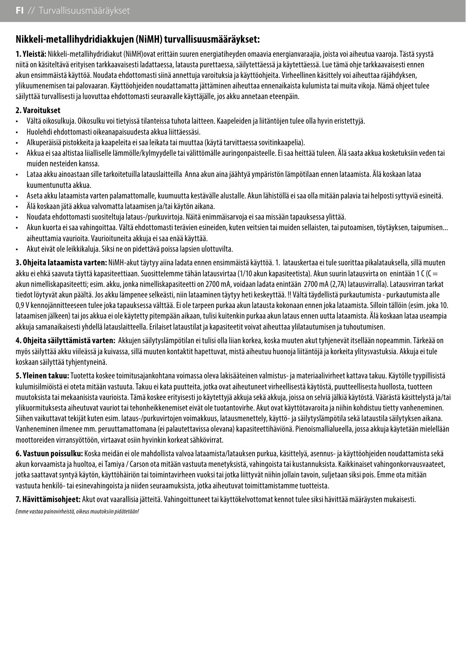## **Nikkeli-metallihydridiakkujen (NiMH) turvallisuusmääräykset:**

**1. Yleistä:** Nikkeli-metallihydridiakut (NiMH)ovat erittäin suuren energiatiheyden omaavia energianvaraajia, joista voi aiheutua vaaroja. Tästä syystä niitä on käsiteltävä erityisen tarkkaavaisesti ladattaessa, latausta purettaessa, säilytettäessä ja käytettäessä. Lue tämä ohje tarkkaavaisesti ennen akun ensimmäistä käyttöä. Noudata ehdottomasti siinä annettuja varoituksia ja käyttöohjeita. Virheellinen käsittely voi aiheuttaa räjähdyksen, ylikuumenemisen tai palovaaran. Käyttöohjeiden noudattamatta jättäminen aiheuttaa ennenaikaista kulumista tai muita vikoja. Nämä ohjeet tulee säilyttää turvallisesti ja luovuttaa ehdottomasti seuraavalle käyttäjälle, jos akku annetaan eteenpäin.

#### **2. Varoitukset**

- Vältä oikosulkuja. Oikosulku voi tietyissä tilanteissa tuhota laitteen. Kaapeleiden ja liitäntöjen tulee olla hyvin eristettyjä.
- Huolehdi ehdottomasti oikeanapaisuudesta akkua liittäessäsi.
- Alkuperäisiä pistokkeita ja kaapeleita ei saa leikata tai muuttaa (käytä tarvittaessa sovitinkaapelia).
- Akkua ei saa altistaa liialliselle lämmölle/kylmyydelle tai välittömälle auringonpaisteelle. Ei saa heittää tuleen. Älä saata akkua kosketuksiin veden tai muiden nesteiden kanssa.
- Lataa akku ainoastaan sille tarkoitetuilla latauslaitteilla Anna akun aina jäähtyä ympäristön lämpötilaan ennen lataamista. Älä koskaan lataa kuumentunutta akkua.
- Aseta akku lataamista varten palamattomalle, kuumuutta kestävälle alustalle. Akun lähistöllä ei saa olla mitään palavia tai helposti syttyviä esineitä.
- Älä koskaan jätä akkua valvomatta lataamisen ja/tai käytön aikana.
- Noudata ehdottomasti suositeltuja lataus-/purkuvirtoja. Näitä enimmäisarvoja ei saa missään tapauksessa ylittää.
- Akun kuorta ei saa vahingoittaa. Vältä ehdottomasti terävien esineiden, kuten veitsien tai muiden sellaisten, tai putoamisen, töytäyksen, taipumisen... aiheuttamia vaurioita. Vaurioituneita akkuja ei saa enää käyttää.
- Akut eivät ole leikkikaluja. Siksi ne on pidettävä poissa lapsien ulottuvilta.

**3. Ohjeita lataamista varten:** NiMH-akut täytyy aiina ladata ennen ensimmäistä käyttöä. 1. latauskertaa ei tule suorittaa pikalatauksella, sillä muuten akku ei ehkä saavuta täyttä kapasiteettiaan. Suosittelemme tähän latausvirtaa (1/10 akun kapasiteetista). Akun suurin latausvirta on enintään 1 C (C = akun nimelliskapasiteetti; esim. akku, jonka nimelliskapasiteetti on 2700 mA, voidaan ladata enintään 2700 mA (2,7A) latausvirralla). Latausvirran tarkat tiedot löytyvät akun päältä. Jos akku lämpenee selkeästi, niin lataaminen täytyy heti keskeyttää. !! Vältä täydellistä purkautumista - purkautumista alle 0,9 V kennojännitteeseen tulee joka tapauksessa välttää. Ei ole tarpeen purkaa akun latausta kokonaan ennen joka lataamista. Silloin tällöin (esim. joka 10. lataamisen jälkeen) tai jos akkua ei ole käytetty pitempään aikaan, tulisi kuitenkin purkaa akun lataus ennen uutta lataamista. Älä koskaan lataa useampia akkuja samanaikaisesti yhdellä latauslaitteella. Erilaiset lataustilat ja kapasiteetit voivat aiheuttaa ylilatautumisen ja tuhoutumisen.

**4. Ohjeita säilyttämistä varten:** Akkujen säilytyslämpötilan ei tulisi olla liian korkea, koska muuten akut tyhjenevät itsellään nopeammin. Tärkeää on myös säilyttää akku viileässä ja kuivassa, sillä muuten kontaktit hapettuvat, mistä aiheutuu huonoja liitäntöjä ja korkeita ylitysvastuksia. Akkuja ei tule koskaan säilyttää tyhjentyneinä.

**5. Yleinen takuu:** Tuotetta koskee toimitusajankohtana voimassa oleva lakisääteinen valmistus- ja materiaalivirheet kattava takuu. Käytölle tyypillisistä kulumisilmiöistä ei oteta mitään vastuuta. Takuu ei kata puutteita, jotka ovat aiheutuneet virheellisestä käytöstä, puutteellisesta huollosta, tuotteen muutoksista tai mekaanisista vaurioista. Tämä koskee erityisesti jo käytettyjä akkuja sekä akkuja, joissa on selviä jälkiä käytöstä. Väärästä käsittelystä ja/tai ylikuormituksesta aiheutuvat vauriot tai tehonheikkenemiset eivät ole tuotantovirhe. Akut ovat käyttötavaroita ja niihin kohdistuu tietty vanheneminen. Siihen vaikuttavat tekijät kuten esim. lataus-/purkuvirtojen voimakkuus, latausmenettely, käyttö- ja säilytyslämpötila sekä lataustila säilytyksen aikana. Vanheneminen ilmenee mm. peruuttamattomana (ei palautettavissa olevana) kapasiteettihäviönä. Pienoismallialueella, jossa akkuja käytetään mielellään moottoreiden virransyöttöön, virtaavat osiin hyvinkin korkeat sähkövirrat.

**6. Vastuun poissulku:** Koska meidän ei ole mahdollista valvoa lataamista/latauksen purkua, käsittelyä, asennus- ja käyttöohjeiden noudattamista sekä akun korvaamista ja huoltoa, ei Tamiya / Carson ota mitään vastuuta menetyksistä, vahingoista tai kustannuksista. Kaikkinaiset vahingonkorvausvaateet, jotka saattavat syntyä käytön, käyttöhäiriön tai toimintavirheen vuoksi tai jotka liittyvät niihin jollain tavoin, suljetaan siksi pois. Emme ota mitään vastuuta henkilö- tai esinevahingoista ja niiden seuraamuksista, jotka aiheutuvat toimittamistamme tuotteista.

**7. Hävittämisohjeet:** Akut ovat vaarallisia jätteitä. Vahingoittuneet tai käyttökelvottomat kennot tulee siksi hävittää määräysten mukaisesti. *Emme vastaa painovirheistä, oikeus muutoksiin pidätetään!*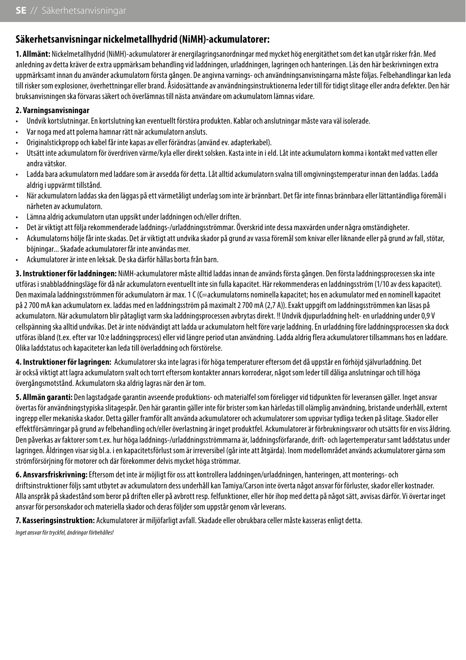## **Säkerhetsanvisningar nickelmetallhydrid (NiMH)-ackumulatorer:**

**1. Allmänt:** Nickelmetallhydrid (NiMH)-ackumulatorer är energilagringsanordningar med mycket hög energitäthet som det kan utgår risker från. Med anledning av detta kräver de extra uppmärksam behandling vid laddningen, urladdningen, lagringen och hanteringen. Läs den här beskrivningen extra uppmärksamt innan du använder ackumulatorn första gången. De angivna varnings- och användningsanvisningarna måste följas. Felbehandlingar kan leda till risker som explosioner, överhettningar eller brand. Åsidosättande av användningsinstruktionerna leder till för tidigt slitage eller andra defekter. Den här bruksanvisningen ska förvaras säkert och överlämnas till nästa användare om ackumulatorn lämnas vidare.

#### **2. Varningsanvisningar**

- Undvik kortslutningar. En kortslutning kan eventuellt förstöra produkten. Kablar och anslutningar måste vara väl isolerade.
- Var noga med att polerna hamnar rätt när ackumulatorn ansluts.
- Originalstickpropp och kabel får inte kapas av eller förändras (använd ev. adapterkabel).
- Utsätt inte ackumulatorn för överdriven värme/kyla eller direkt solsken. Kasta inte in i eld. Låt inte ackumulatorn komma i kontakt med vatten eller andra vätskor.
- Ladda bara ackumulatorn med laddare som är avsedda för detta. Låt alltid ackumulatorn svalna till omgivningstemperatur innan den laddas. Ladda aldrig i uppvärmt tillstånd.
- När ackumulatorn laddas ska den läggas på ett värmetåligt underlag som inte är brännbart. Det får inte finnas brännbara eller lättantändliga föremål i närheten av ackumulatorn.
- Lämna aldrig ackumulatorn utan uppsikt under laddningen och/eller driften.
- Det är viktigt att följa rekommenderade laddnings-/urladdningsströmmar. Överskrid inte dessa maxvärden under några omständigheter.
- Ackumulatorns hölje får inte skadas. Det är viktigt att undvika skador på grund av vassa föremål som knivar eller liknande eller på grund av fall, stötar, böjningar... Skadade ackumulatorer får inte användas mer.
- Ackumulatorer är inte en leksak. De ska därför hållas borta från barn.

**3. Instruktioner för laddningen:** NiMH-ackumulatorer måste alltid laddas innan de används första gången. Den första laddningsprocessen ska inte utföras i snabbladdningsläge för då når ackumulatorn eventuellt inte sin fulla kapacitet. Här rekommenderas en laddningsström (1/10 av dess kapacitet). Den maximala laddningsströmmen för ackumulatorn är max. 1 C (C=ackumulatorns nominella kapacitet; hos en ackumulator med en nominell kapacitet på 2 700 mA kan ackumulatorn ex. laddas med en laddningsström på maximalt 2 700 mA (2,7 A)). Exakt uppgift om laddningsströmmen kan läsas på ackumulatorn. När ackumulatorn blir påtagligt varm ska laddningsprocessen avbrytas direkt. !! Undvik djupurladdning helt- en urladdning under 0,9 V cellspänning ska alltid undvikas. Det är inte nödvändigt att ladda ur ackumulatorn helt före varje laddning. En urladdning före laddningsprocessen ska dock utföras ibland (t.ex. efter var 10:e laddningsprocess) eller vid längre period utan användning. Ladda aldrig flera ackumulatorer tillsammans hos en laddare. Olika laddstatus och kapaciteter kan leda till överladdning och förstörelse.

**4. Instruktioner för lagringen:** Ackumulatorer ska inte lagras i för höga temperaturer eftersom det då uppstår en förhöjd självurladdning. Det är också viktigt att lagra ackumulatorn svalt och torrt eftersom kontakter annars korroderar, något som leder till dåliga anslutningar och till höga övergångsmotstånd. Ackumulatorn ska aldrig lagras när den är tom.

**5. Allmän garanti:** Den lagstadgade garantin avseende produktions- och materialfel som föreligger vid tidpunkten för leveransen gäller. Inget ansvar övertas för användningstypiska slitagespår. Den här garantin gäller inte för brister som kan härledas till olämplig användning, bristande underhåll, externt ingrepp eller mekaniska skador. Detta gäller framför allt använda ackumulatorer och ackumulatorer som uppvisar tydliga tecken på slitage. Skador eller effektförsämringar på grund av felbehandling och/eller överlastning är inget produktfel. Ackumulatorer är förbrukningsvaror och utsätts för en viss åldring. Den påverkas av faktorer som t.ex. hur höga laddnings-/urladdningsströmmarna är, laddningsförfarande, drift- och lagertemperatur samt laddstatus under lagringen. Åldringen visar sig bl.a. i en kapacitetsförlust som är irreversibel (går inte att åtgärda). Inom modellområdet används ackumulatorer gärna som strömförsörjning för motorer och där förekommer delvis mycket höga strömmar.

**6. Ansvarsfriskrivning:** Eftersom det inte är möjligt för oss att kontrollera laddningen/urladdningen, hanteringen, att monterings- och driftsinstruktioner följs samt utbytet av ackumulatorn dess underhåll kan Tamiya/Carson inte överta något ansvar för förluster, skador eller kostnader. Alla anspråk på skadestånd som beror på driften eller på avbrott resp. felfunktioner, eller hör ihop med detta på något sätt, avvisas därför. Vi övertar inget ansvar för personskador och materiella skador och deras följder som uppstår genom vår leverans.

**7. Kasseringsinstruktion:** Ackumulatorer är miljöfarligt avfall. Skadade eller obrukbara celler måste kasseras enligt detta.

*Inget ansvar för tryckfel, ändringar förbehålles!*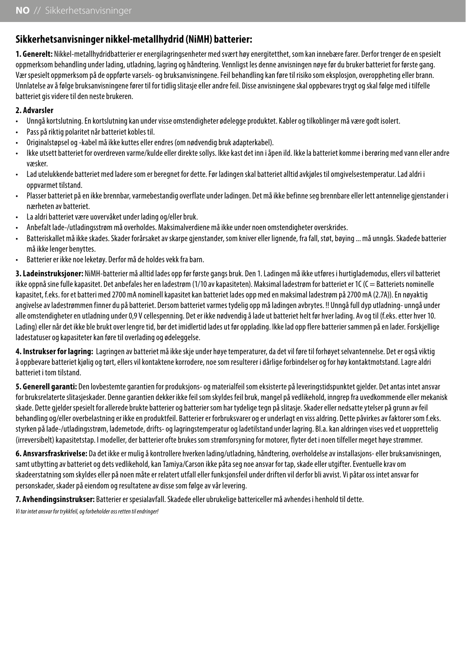## **Sikkerhetsanvisninger nikkel-metallhydrid (NiMH) batterier:**

**1. Generelt:** Nikkel-metallhydridbatterier er energilagringsenheter med svært høy energitetthet, som kan innebære farer. Derfor trenger de en spesielt oppmerksom behandling under lading, utladning, lagring og håndtering. Vennligst les denne anvisningen nøye før du bruker batteriet for første gang. Vær spesielt oppmerksom på de oppførte varsels- og bruksanvisningene. Feil behandling kan føre til risiko som eksplosjon, overoppheting eller brann. Unnlatelse av å følge bruksanvisningene fører til for tidlig slitasje eller andre feil. Disse anvisningene skal oppbevares trygt og skal følge med i tilfelle batteriet gis videre til den neste brukeren.

#### **2. Advarsler**

- Unngå kortslutning. En kortslutning kan under visse omstendigheter ødelegge produktet. Kabler og tilkoblinger må være godt isolert.
- Pass på riktig polaritet når batteriet kobles til.
- Originalstøpsel og -kabel må ikke kuttes eller endres (om nødvendig bruk adapterkabel).
- Ikke utsett batteriet for overdreven varme/kulde eller direkte sollys. Ikke kast det inn i åpen ild. Ikke la batteriet komme i berøring med vann eller andre væsker.
- Lad utelukkende batteriet med ladere som er beregnet for dette. Før ladingen skal batteriet alltid avkjøles til omgivelsestemperatur. Lad aldri i oppvarmet tilstand.
- Plasser batteriet på en ikke brennbar, varmebestandig overflate under ladingen. Det må ikke befinne seg brennbare eller lett antennelige gjenstander i nærheten av batteriet.
- La aldri batteriet være uovervåket under lading og/eller bruk.
- Anbefalt lade-/utladingsstrøm må overholdes. Maksimalverdiene må ikke under noen omstendigheter overskrides.
- Batteriskallet må ikke skades. Skader forårsaket av skarpe gjenstander, som kniver eller lignende, fra fall, støt, bøying ... må unngås. Skadede batterier må ikke lenger benyttes.
- Batterier er ikke noe leketøy. Derfor må de holdes vekk fra barn.

**3. Ladeinstruksjoner:** NiMH-batterier må alltid lades opp før første gangs bruk. Den 1. Ladingen må ikke utføres i hurtiglademodus, ellers vil batteriet ikke oppnå sine fulle kapasitet. Det anbefales her en ladestrøm (1/10 av kapasiteten). Maksimal ladestrøm for batteriet er 1C (C = Batteriets nominelle kapasitet, f.eks. for et batteri med 2700 mA nominell kapasitet kan batteriet lades opp med en maksimal ladestrøm på 2700 mA (2.7A)). En nøyaktig angivelse av ladestrømmen finner du på batteriet. Dersom batteriet varmes tydelig opp må ladingen avbrytes. !! Unngå full dyp utladning- unngå under alle omstendigheter en utladning under 0,9 V cellespenning. Det er ikke nødvendig å lade ut batteriet helt før hver lading. Av og til (f.eks. etter hver 10. Lading) eller når det ikke ble brukt over lengre tid, bør det imidlertid lades ut før opplading. Ikke lad opp flere batterier sammen på en lader. Forskjellige ladestatuser og kapasiteter kan føre til overlading og ødeleggelse.

**4. Instrukser for lagring:** Lagringen av batteriet må ikke skje under høye temperaturer, da det vil føre til forhøyet selvantennelse. Det er også viktig å oppbevare batteriet kjølig og tørt, ellers vil kontaktene korrodere, noe som resulterer i dårlige forbindelser og for høy kontaktmotstand. Lagre aldri batteriet i tom tilstand.

**5. Generell garanti:** Den lovbestemte garantien for produksjons- og materialfeil som eksisterte på leveringstidspunktet gjelder. Det antas intet ansvar for bruksrelaterte slitasjeskader. Denne garantien dekker ikke feil som skyldes feil bruk, mangel på vedlikehold, inngrep fra uvedkommende eller mekanisk skade. Dette gjelder spesielt for allerede brukte batterier og batterier som har tydelige tegn på slitasje. Skader eller nedsatte ytelser på grunn av feil behandling og/eller overbelastning er ikke en produktfeil. Batterier er forbruksvarer og er underlagt en viss aldring. Dette påvirkes av faktorer som f.eks. styrken på lade-/utladingsstrøm, lademetode, drifts- og lagringstemperatur og ladetilstand under lagring. Bl.a. kan aldringen vises ved et uopprettelig (irreversibelt) kapasitetstap. I modeller, der batterier ofte brukes som strømforsyning for motorer, flyter det i noen tilfeller meget høye strømmer.

**6. Ansvarsfraskrivelse:** Da det ikke er mulig å kontrollere hverken lading/utladning, håndtering, overholdelse av installasjons- eller bruksanvisningen, samt utbytting av batteriet og dets vedlikehold, kan Tamiya/Carson ikke påta seg noe ansvar for tap, skade eller utgifter. Eventuelle krav om skadeerstatning som skyldes eller på noen måte er relatert utfall eller funksjonsfeil under driften vil derfor bli avvist. Vi påtar oss intet ansvar for personskader, skader på eiendom og resultatene av disse som følge av vår levering.

**7. Avhendingsinstrukser:** Batterier er spesialavfall. Skadede eller ubrukelige battericeller må avhendes i henhold til dette.

*Vi tar intet ansvar for trykkfeil, og forbeholder oss retten til endringer!*